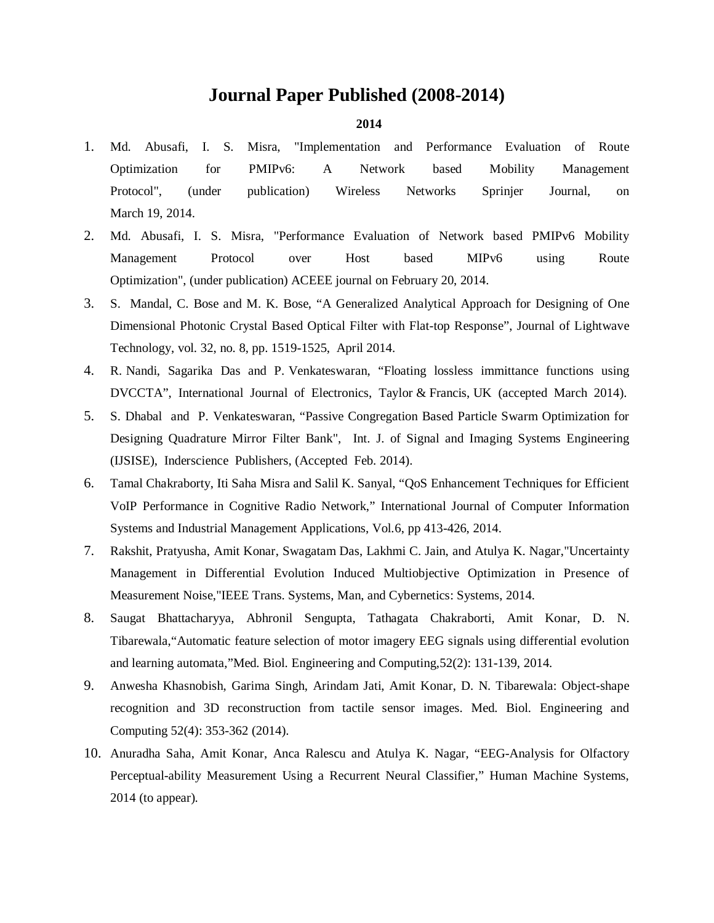# **Journal Paper Published (2008-2014)**

- 1. Md. Abusafi, I. S. Misra, "Implementation and Performance Evaluation of Route Optimization for PMIPv6: A Network based Mobility Management Protocol", (under publication) Wireless Networks Sprinjer Journal, on March 19, 2014.
- 2. Md. Abusafi, I. S. Misra, "Performance Evaluation of Network based PMIPv6 Mobility Management Protocol over Host based MIPv6 using Route Optimization", (under publication) ACEEE journal on February 20, 2014.
- 3. S. Mandal, C. Bose and M. K. Bose, "A Generalized Analytical Approach for Designing of One Dimensional Photonic Crystal Based Optical Filter with Flat-top Response", Journal of Lightwave Technology, vol. 32, no. 8, pp. 1519-1525, April 2014.
- 4. R. Nandi, Sagarika Das and P. Venkateswaran, "Floating lossless immittance functions using DVCCTA", International Journal of Electronics, Taylor & Francis, UK (accepted March 2014).
- 5. S. Dhabal and P. Venkateswaran, "Passive Congregation Based Particle Swarm Optimization for Designing Quadrature Mirror Filter Bank", Int. J. of Signal and Imaging Systems Engineering (IJSISE), Inderscience Publishers, (Accepted Feb. 2014).
- 6. Tamal Chakraborty, Iti Saha Misra and Salil K. Sanyal, "QoS Enhancement Techniques for Efficient VoIP Performance in Cognitive Radio Network," International Journal of Computer Information Systems and Industrial Management Applications, Vol.6, pp 413-426, 2014.
- 7. Rakshit, Pratyusha, Amit Konar, Swagatam Das, Lakhmi C. Jain, and Atulya K. Nagar,"Uncertainty Management in Differential Evolution Induced Multiobjective Optimization in Presence of Measurement Noise,"IEEE Trans. Systems, Man, and Cybernetics: Systems, 2014.
- 8. Saugat Bhattacharyya, Abhronil Sengupta, Tathagata Chakraborti, Amit Konar, D. N. Tibarewala,"Automatic feature selection of motor imagery EEG signals using differential evolution and learning automata,"Med. Biol. Engineering and Computing,52(2): 131-139, 2014.
- 9. Anwesha Khasnobish, Garima Singh, Arindam Jati, Amit Konar, D. N. Tibarewala: Object-shape recognition and 3D reconstruction from tactile sensor images. Med. Biol. Engineering and Computing 52(4): 353-362 (2014).
- 10. Anuradha Saha, Amit Konar, Anca Ralescu and Atulya K. Nagar, "EEG-Analysis for Olfactory Perceptual-ability Measurement Using a Recurrent Neural Classifier," Human Machine Systems, 2014 (to appear).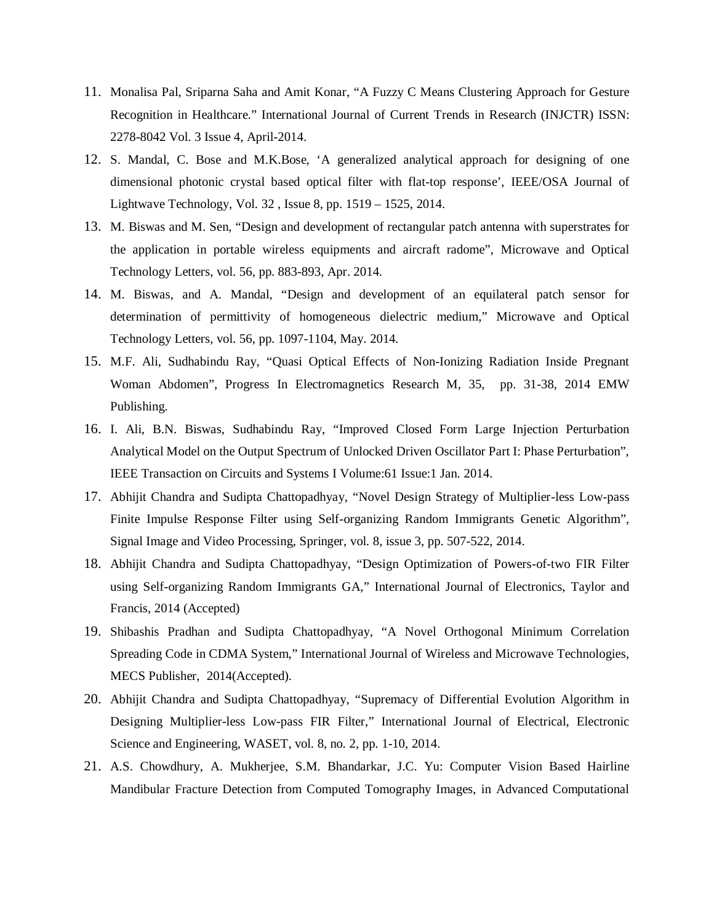- 11. Monalisa Pal, Sriparna Saha and Amit Konar, "A Fuzzy C Means Clustering Approach for Gesture Recognition in Healthcare." International Journal of Current Trends in Research (INJCTR) ISSN: 2278-8042 Vol. 3 Issue 4, April-2014.
- 12. S. Mandal, C. Bose and M.K.Bose, 'A generalized analytical approach for designing of one dimensional photonic crystal based optical filter with flat-top response', IEEE/OSA Journal of Lightwave Technology, Vol. 32 , Issue 8, pp. 1519 – 1525, 2014.
- 13. M. Biswas and M. Sen, "Design and development of rectangular patch antenna with superstrates for the application in portable wireless equipments and aircraft radome", Microwave and Optical Technology Letters, vol. 56, pp. 883-893, Apr. 2014.
- 14. M. Biswas, and A. Mandal, "Design and development of an equilateral patch sensor for determination of permittivity of homogeneous dielectric medium," Microwave and Optical Technology Letters, vol. 56, pp. 1097-1104, May. 2014.
- 15. M.F. Ali, Sudhabindu Ray, "Quasi Optical Effects of Non-Ionizing Radiation Inside Pregnant Woman Abdomen", Progress In Electromagnetics Research M, 35, pp. 31-38, 2014 EMW Publishing.
- 16. I. Ali, B.N. Biswas, Sudhabindu Ray, "Improved Closed Form Large Injection Perturbation Analytical Model on the Output Spectrum of Unlocked Driven Oscillator Part I: Phase Perturbation", IEEE Transaction on Circuits and Systems I Volume:61 Issue:1 Jan. 2014.
- 17. Abhijit Chandra and Sudipta Chattopadhyay, "Novel Design Strategy of Multiplier-less Low-pass Finite Impulse Response Filter using Self-organizing Random Immigrants Genetic Algorithm", Signal Image and Video Processing, Springer, vol. 8, issue 3, pp. 507-522, 2014.
- 18. Abhijit Chandra and Sudipta Chattopadhyay, "Design Optimization of Powers-of-two FIR Filter using Self-organizing Random Immigrants GA," International Journal of Electronics, Taylor and Francis, 2014 (Accepted)
- 19. Shibashis Pradhan and Sudipta Chattopadhyay, "A Novel Orthogonal Minimum Correlation Spreading Code in CDMA System," International Journal of Wireless and Microwave Technologies, MECS Publisher, 2014(Accepted).
- 20. Abhijit Chandra and Sudipta Chattopadhyay, "Supremacy of Differential Evolution Algorithm in Designing Multiplier-less Low-pass FIR Filter," International Journal of Electrical, Electronic Science and Engineering, WASET, vol. 8, no. 2, pp. 1-10, 2014.
- 21. A.S. Chowdhury, A. Mukherjee, S.M. Bhandarkar, J.C. Yu: Computer Vision Based Hairline Mandibular Fracture Detection from Computed Tomography Images, in Advanced Computational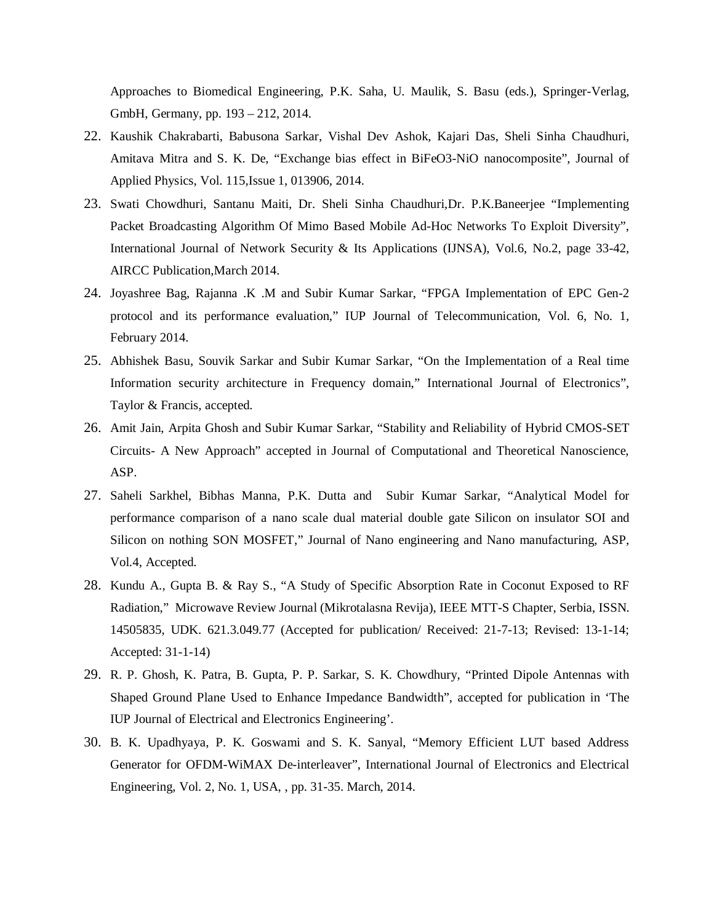Approaches to Biomedical Engineering, P.K. Saha, U. Maulik, S. Basu (eds.), Springer-Verlag, GmbH, Germany, pp. 193 – 212, 2014.

- 22. Kaushik Chakrabarti, Babusona Sarkar, Vishal Dev Ashok, Kajari Das, Sheli Sinha Chaudhuri, Amitava Mitra and S. K. De, "Exchange bias effect in BiFeO3-NiO nanocomposite", Journal of Applied Physics, Vol. 115,Issue 1, 013906, 2014.
- 23. Swati Chowdhuri, Santanu Maiti, Dr. Sheli Sinha Chaudhuri,Dr. P.K.Baneerjee "Implementing Packet Broadcasting Algorithm Of Mimo Based Mobile Ad-Hoc Networks To Exploit Diversity", International Journal of Network Security & Its Applications (IJNSA), Vol.6, No.2, page 33-42, AIRCC Publication,March 2014.
- 24. Joyashree Bag, Rajanna .K .M and Subir Kumar Sarkar, "FPGA Implementation of EPC Gen-2 protocol and its performance evaluation," IUP Journal of Telecommunication, Vol. 6, No. 1, February 2014.
- 25. Abhishek Basu, Souvik Sarkar and Subir Kumar Sarkar, "On the Implementation of a Real time Information security architecture in Frequency domain," International Journal of Electronics", Taylor & Francis, accepted.
- 26. Amit Jain, Arpita Ghosh and Subir Kumar Sarkar, "Stability and Reliability of Hybrid CMOS-SET Circuits- A New Approach" accepted in Journal of Computational and Theoretical Nanoscience, ASP.
- 27. Saheli Sarkhel, Bibhas Manna, P.K. Dutta and Subir Kumar Sarkar, "Analytical Model for performance comparison of a nano scale dual material double gate Silicon on insulator SOI and Silicon on nothing SON MOSFET," Journal of Nano engineering and Nano manufacturing, ASP, Vol.4, Accepted.
- 28. Kundu A., Gupta B. & Ray S., "A Study of Specific Absorption Rate in Coconut Exposed to RF Radiation," Microwave Review Journal (Mikrotalasna Revija), IEEE MTT-S Chapter, Serbia, ISSN. 14505835, UDK. 621.3.049.77 (Accepted for publication/ Received: 21-7-13; Revised: 13-1-14; Accepted: 31-1-14)
- 29. R. P. Ghosh, K. Patra, B. Gupta, P. P. Sarkar, S. K. Chowdhury, "Printed Dipole Antennas with Shaped Ground Plane Used to Enhance Impedance Bandwidth", accepted for publication in 'The IUP Journal of Electrical and Electronics Engineering'.
- 30. B. K. Upadhyaya, P. K. Goswami and S. K. Sanyal, "Memory Efficient LUT based Address Generator for OFDM-WiMAX De-interleaver", International Journal of Electronics and Electrical Engineering, Vol. 2, No. 1, USA, , pp. 31-35. March, 2014.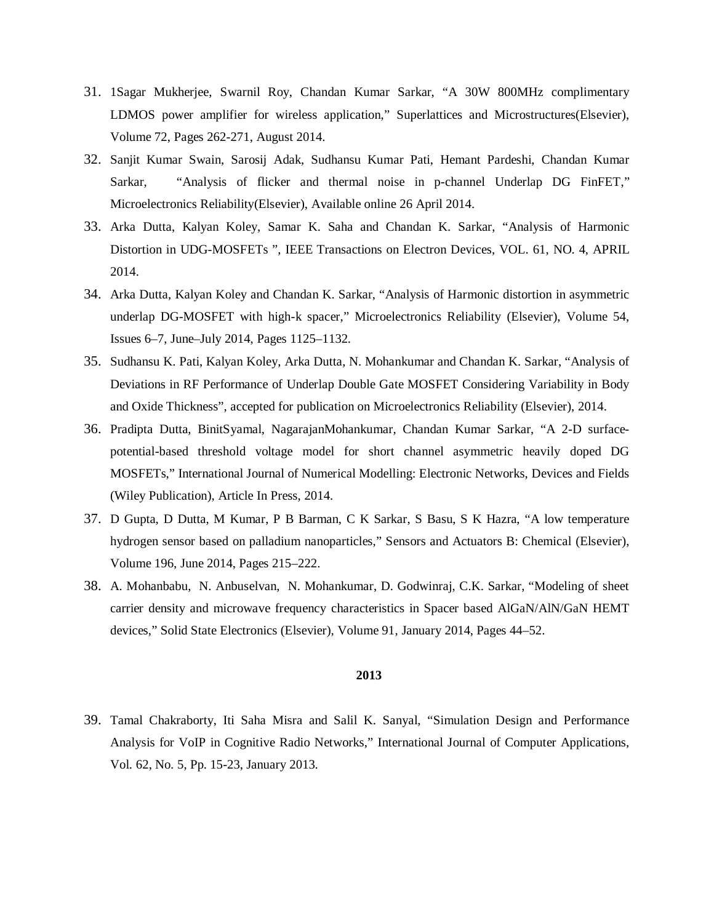- 31. 1Sagar Mukherjee, Swarnil Roy, Chandan Kumar Sarkar, "A 30W 800MHz complimentary LDMOS power amplifier for wireless application," Superlattices and Microstructures(Elsevier), Volume 72, Pages 262-271, August 2014.
- 32. Sanjit Kumar Swain, Sarosij Adak, Sudhansu Kumar Pati, Hemant Pardeshi, Chandan Kumar Sarkar, "Analysis of flicker and thermal noise in p-channel Underlap DG FinFET," Microelectronics Reliability(Elsevier), Available online 26 April 2014.
- 33. Arka Dutta, Kalyan Koley, Samar K. Saha and Chandan K. Sarkar, "Analysis of Harmonic Distortion in UDG-MOSFETs ", IEEE Transactions on Electron Devices, VOL. 61, NO. 4, APRIL 2014.
- 34. Arka Dutta, Kalyan Koley and Chandan K. Sarkar, "Analysis of Harmonic distortion in asymmetric underlap DG-MOSFET with high-k spacer," Microelectronics Reliability (Elsevier), Volume 54, Issues 6–7, June–July 2014, Pages 1125–1132.
- 35. Sudhansu K. Pati, Kalyan Koley, Arka Dutta, N. Mohankumar and Chandan K. Sarkar, "Analysis of Deviations in RF Performance of Underlap Double Gate MOSFET Considering Variability in Body and Oxide Thickness", accepted for publication on Microelectronics Reliability (Elsevier), 2014.
- 36. Pradipta Dutta, BinitSyamal, NagarajanMohankumar, Chandan Kumar Sarkar, "A 2-D surfacepotential-based threshold voltage model for short channel asymmetric heavily doped DG MOSFETs," International Journal of Numerical Modelling: Electronic Networks, Devices and Fields (Wiley Publication), Article In Press, 2014.
- 37. D Gupta, D Dutta, M Kumar, P B Barman, C K Sarkar, S Basu, S K Hazra, "A low temperature hydrogen sensor based on palladium nanoparticles," Sensors and Actuators B: Chemical (Elsevier), Volume 196, June 2014, Pages 215–222.
- 38. A. Mohanbabu, N. Anbuselvan, N. Mohankumar, D. Godwinraj, C.K. Sarkar, "Modeling of sheet carrier density and microwave frequency characteristics in Spacer based AlGaN/AlN/GaN HEMT devices," Solid State Electronics (Elsevier), Volume 91, January 2014, Pages 44–52.

39. Tamal Chakraborty, Iti Saha Misra and Salil K. Sanyal, "Simulation Design and Performance Analysis for VoIP in Cognitive Radio Networks," International Journal of Computer Applications, Vol. 62, No. 5, Pp. 15-23, January 2013.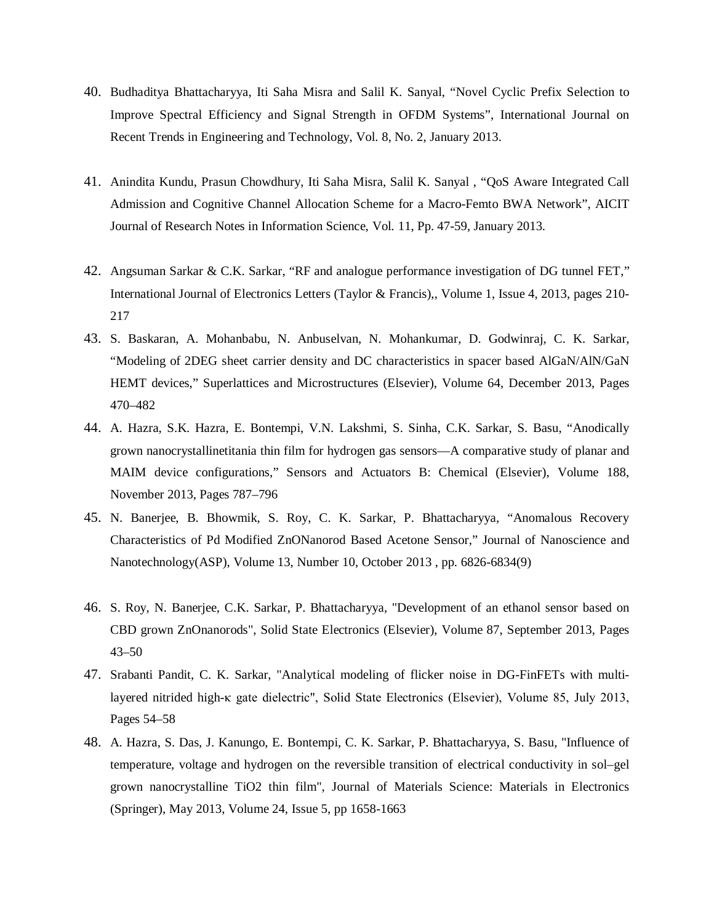- 40. Budhaditya Bhattacharyya, Iti Saha Misra and Salil K. Sanyal, "Novel Cyclic Prefix Selection to Improve Spectral Efficiency and Signal Strength in OFDM Systems", International Journal on Recent Trends in Engineering and Technology, Vol. 8, No. 2, January 2013.
- 41. Anindita Kundu, Prasun Chowdhury, Iti Saha Misra, Salil K. Sanyal , "QoS Aware Integrated Call Admission and Cognitive Channel Allocation Scheme for a Macro-Femto BWA Network", AICIT Journal of Research Notes in Information Science, Vol. 11, Pp. 47-59, January 2013.
- 42. Angsuman Sarkar & C.K. Sarkar, "RF and analogue performance investigation of DG tunnel FET," International Journal of Electronics Letters (Taylor & Francis),, Volume 1, Issue 4, 2013, pages 210- 217
- 43. S. Baskaran, A. Mohanbabu, N. Anbuselvan, N. Mohankumar, D. Godwinraj, C. K. Sarkar, "Modeling of 2DEG sheet carrier density and DC characteristics in spacer based AlGaN/AlN/GaN HEMT devices," Superlattices and Microstructures (Elsevier), Volume 64, December 2013, Pages 470–482
- 44. A. Hazra, S.K. Hazra, E. Bontempi, V.N. Lakshmi, S. Sinha, C.K. Sarkar, S. Basu, "Anodically grown nanocrystallinetitania thin film for hydrogen gas sensors—A comparative study of planar and MAIM device configurations," Sensors and Actuators B: Chemical (Elsevier), Volume 188, November 2013, Pages 787–796
- 45. N. Banerjee, B. Bhowmik, S. Roy, C. K. Sarkar, P. Bhattacharyya, "Anomalous Recovery Characteristics of Pd Modified ZnONanorod Based Acetone Sensor," Journal of Nanoscience and Nanotechnology(ASP), Volume 13, Number 10, October 2013 , pp. 6826-6834(9)
- 46. S. Roy, N. Banerjee, C.K. Sarkar, P. Bhattacharyya, "Development of an ethanol sensor based on CBD grown ZnOnanorods", Solid State Electronics (Elsevier), Volume 87, September 2013, Pages 43–50
- 47. Srabanti Pandit, C. K. Sarkar, "Analytical modeling of flicker noise in DG-FinFETs with multilayered nitrided high-κ gate dielectric", Solid State Electronics (Elsevier), Volume 85, July 2013, Pages 54–58
- 48. A. Hazra, S. Das, J. Kanungo, E. Bontempi, C. K. Sarkar, P. Bhattacharyya, S. Basu, "Influence of temperature, voltage and hydrogen on the reversible transition of electrical conductivity in sol–gel grown nanocrystalline TiO2 thin film", Journal of Materials Science: Materials in Electronics (Springer), May 2013, Volume 24, Issue 5, pp 1658-1663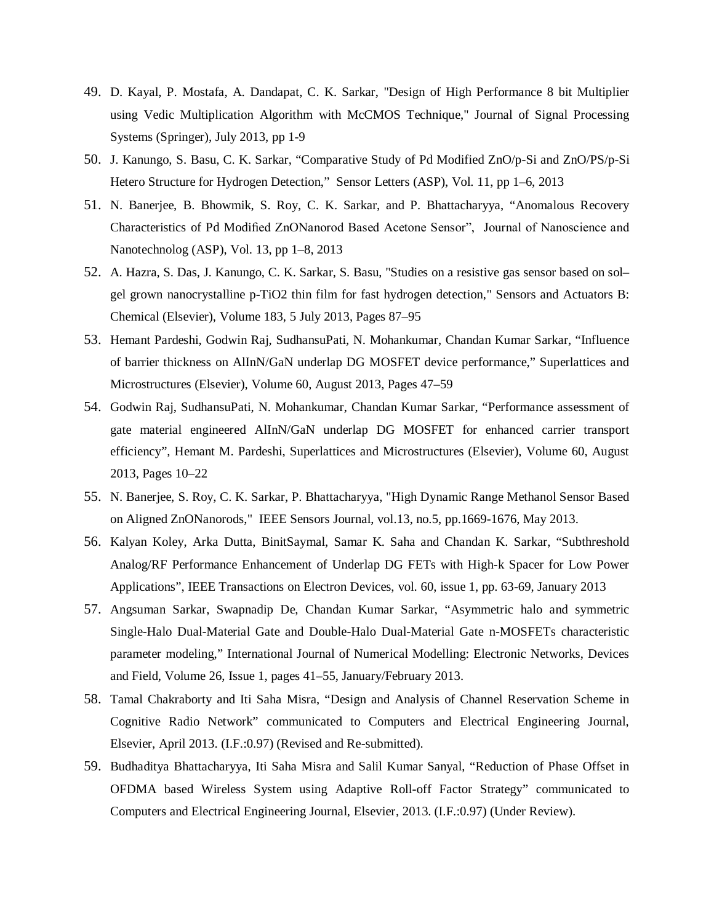- 49. D. Kayal, P. Mostafa, A. Dandapat, C. K. Sarkar, "Design of High Performance 8 bit Multiplier using Vedic Multiplication Algorithm with McCMOS Technique," Journal of Signal Processing Systems (Springer), July 2013, pp 1-9
- 50. J. Kanungo, S. Basu, C. K. Sarkar, "Comparative Study of Pd Modified ZnO/p-Si and ZnO/PS/p-Si Hetero Structure for Hydrogen Detection," Sensor Letters (ASP), Vol. 11, pp 1–6, 2013
- 51. N. Banerjee, B. Bhowmik, S. Roy, C. K. Sarkar, and P. Bhattacharyya, "Anomalous Recovery Characteristics of Pd Modified ZnONanorod Based Acetone Sensor", Journal of Nanoscience and Nanotechnolog (ASP), Vol. 13, pp 1–8, 2013
- 52. A. Hazra, S. Das, J. Kanungo, C. K. Sarkar, S. Basu, "Studies on a resistive gas sensor based on sol– gel grown nanocrystalline p-TiO2 thin film for fast hydrogen detection," Sensors and Actuators B: Chemical (Elsevier), Volume 183, 5 July 2013, Pages 87–95
- 53. Hemant Pardeshi, Godwin Raj, SudhansuPati, N. Mohankumar, Chandan Kumar Sarkar, "Influence of barrier thickness on AlInN/GaN underlap DG MOSFET device performance," Superlattices and Microstructures (Elsevier), Volume 60, August 2013, Pages 47–59
- 54. Godwin Raj, SudhansuPati, N. Mohankumar, Chandan Kumar Sarkar, "Performance assessment of gate material engineered AlInN/GaN underlap DG MOSFET for enhanced carrier transport efficiency", Hemant M. Pardeshi, Superlattices and Microstructures (Elsevier), Volume 60, August 2013, Pages 10–22
- 55. N. Banerjee, S. Roy, C. K. Sarkar, P. Bhattacharyya, "High Dynamic Range Methanol Sensor Based on Aligned ZnONanorods," IEEE Sensors Journal, vol.13, no.5, pp.1669-1676, May 2013.
- 56. Kalyan Koley, Arka Dutta, BinitSaymal, Samar K. Saha and Chandan K. Sarkar, "Subthreshold Analog/RF Performance Enhancement of Underlap DG FETs with High-k Spacer for Low Power Applications", IEEE Transactions on Electron Devices, vol. 60, issue 1, pp. 63-69, January 2013
- 57. Angsuman Sarkar, Swapnadip De, Chandan Kumar Sarkar, "Asymmetric halo and symmetric Single-Halo Dual-Material Gate and Double-Halo Dual-Material Gate n-MOSFETs characteristic parameter modeling," International Journal of Numerical Modelling: Electronic Networks, Devices and Field, Volume 26, Issue 1, pages 41–55, January/February 2013.
- 58. Tamal Chakraborty and Iti Saha Misra, "Design and Analysis of Channel Reservation Scheme in Cognitive Radio Network" communicated to Computers and Electrical Engineering Journal, Elsevier, April 2013. (I.F.:0.97) (Revised and Re-submitted).
- 59. Budhaditya Bhattacharyya, Iti Saha Misra and Salil Kumar Sanyal, "Reduction of Phase Offset in OFDMA based Wireless System using Adaptive Roll-off Factor Strategy" communicated to Computers and Electrical Engineering Journal, Elsevier, 2013. (I.F.:0.97) (Under Review).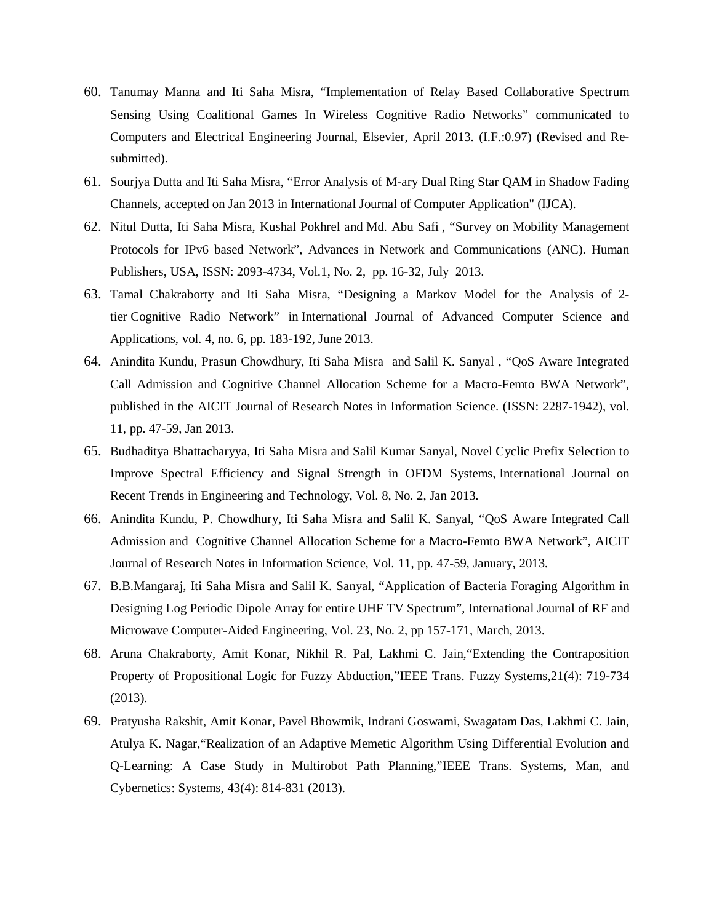- 60. Tanumay Manna and Iti Saha Misra, "Implementation of Relay Based Collaborative Spectrum Sensing Using Coalitional Games In Wireless Cognitive Radio Networks" communicated to Computers and Electrical Engineering Journal, Elsevier, April 2013. (I.F.:0.97) (Revised and Resubmitted).
- 61. Sourjya Dutta and Iti Saha Misra, "Error Analysis of M-ary Dual Ring Star QAM in Shadow Fading Channels, accepted on Jan 2013 in International Journal of Computer Application" (IJCA).
- 62. Nitul Dutta, Iti Saha Misra, Kushal Pokhrel and Md. Abu Safi , "Survey on Mobility Management Protocols for IPv6 based Network", Advances in Network and Communications (ANC). Human Publishers, USA, ISSN: 2093-4734, Vol.1, No. 2, pp. 16-32, July 2013.
- 63. Tamal Chakraborty and Iti Saha Misra, "Designing a Markov Model for the Analysis of 2 tier Cognitive Radio Network" in International Journal of Advanced Computer Science and Applications, vol. 4, no. 6, pp. 183-192, June 2013.
- 64. Anindita Kundu, Prasun Chowdhury, Iti Saha Misra and Salil K. Sanyal , "QoS Aware Integrated Call Admission and Cognitive Channel Allocation Scheme for a Macro-Femto BWA Network", published in the AICIT Journal of Research Notes in Information Science. (ISSN: 2287-1942), vol. 11, pp. 47-59, Jan 2013.
- 65. Budhaditya Bhattacharyya, Iti Saha Misra and Salil Kumar Sanyal, Novel Cyclic Prefix Selection to Improve Spectral Efficiency and Signal Strength in OFDM Systems, International Journal on Recent Trends in Engineering and Technology, Vol. 8, No. 2, Jan 2013.
- 66. Anindita Kundu, P. Chowdhury, Iti Saha Misra and Salil K. Sanyal, "QoS Aware Integrated Call Admission and Cognitive Channel Allocation Scheme for a Macro-Femto BWA Network", AICIT Journal of Research Notes in Information Science, Vol. 11, pp. 47-59, January, 2013.
- 67. B.B.Mangaraj, Iti Saha Misra and Salil K. Sanyal, "Application of Bacteria Foraging Algorithm in Designing Log Periodic Dipole Array for entire UHF TV Spectrum", International Journal of RF and Microwave Computer-Aided Engineering, Vol. 23, No. 2, pp 157-171, March, 2013.
- 68. Aruna Chakraborty, Amit Konar, Nikhil R. Pal, Lakhmi C. Jain,"Extending the Contraposition Property of Propositional Logic for Fuzzy Abduction,"IEEE Trans. Fuzzy Systems,21(4): 719-734 (2013).
- 69. Pratyusha Rakshit, Amit Konar, Pavel Bhowmik, Indrani Goswami, Swagatam Das, Lakhmi C. Jain, Atulya K. Nagar,"Realization of an Adaptive Memetic Algorithm Using Differential Evolution and Q-Learning: A Case Study in Multirobot Path Planning,"IEEE Trans. Systems, Man, and Cybernetics: Systems, 43(4): 814-831 (2013).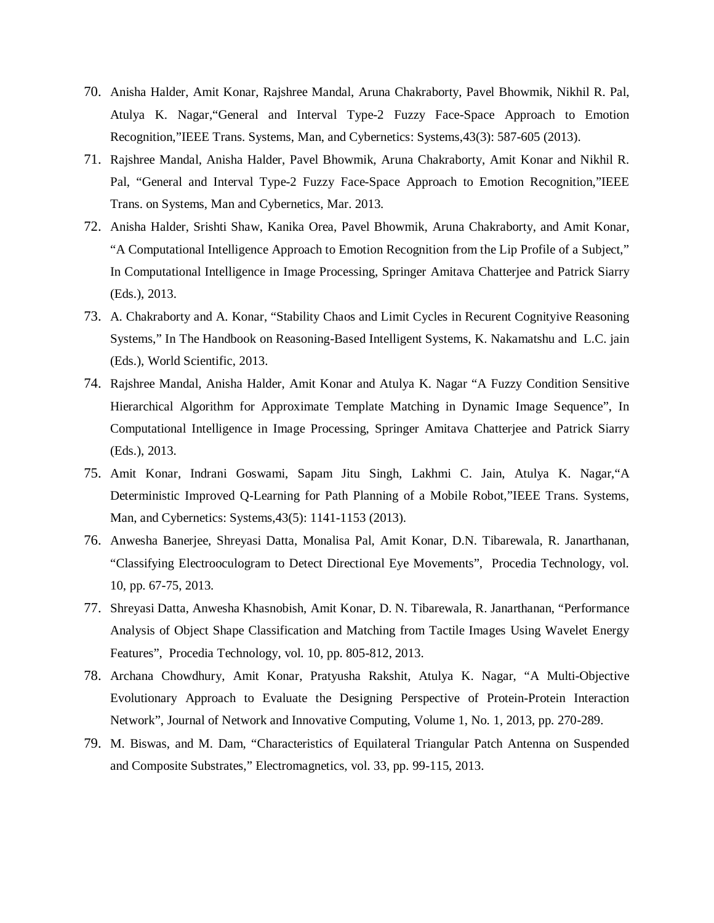- 70. Anisha Halder, Amit Konar, Rajshree Mandal, Aruna Chakraborty, Pavel Bhowmik, Nikhil R. Pal, Atulya K. Nagar,"General and Interval Type-2 Fuzzy Face-Space Approach to Emotion Recognition,"IEEE Trans. Systems, Man, and Cybernetics: Systems,43(3): 587-605 (2013).
- 71. Rajshree Mandal, Anisha Halder, Pavel Bhowmik, Aruna Chakraborty, Amit Konar and Nikhil R. Pal, "General and Interval Type-2 Fuzzy Face-Space Approach to Emotion Recognition,"IEEE Trans. on Systems, Man and Cybernetics, Mar. 2013.
- 72. Anisha Halder, Srishti Shaw, Kanika Orea, Pavel Bhowmik, Aruna Chakraborty, and Amit Konar, "A Computational Intelligence Approach to Emotion Recognition from the Lip Profile of a Subject," In Computational Intelligence in Image Processing, Springer Amitava Chatterjee and Patrick Siarry (Eds.), 2013.
- 73. A. Chakraborty and A. Konar, "Stability Chaos and Limit Cycles in Recurent Cognityive Reasoning Systems," In The Handbook on Reasoning-Based Intelligent Systems, K. Nakamatshu and L.C. jain (Eds.), World Scientific, 2013.
- 74. Rajshree Mandal, Anisha Halder, Amit Konar and Atulya K. Nagar "A Fuzzy Condition Sensitive Hierarchical Algorithm for Approximate Template Matching in Dynamic Image Sequence", In Computational Intelligence in Image Processing, Springer Amitava Chatterjee and Patrick Siarry (Eds.), 2013.
- 75. Amit Konar, Indrani Goswami, Sapam Jitu Singh, Lakhmi C. Jain, Atulya K. Nagar,"A Deterministic Improved Q-Learning for Path Planning of a Mobile Robot,"IEEE Trans. Systems, Man, and Cybernetics: Systems,43(5): 1141-1153 (2013).
- 76. Anwesha Banerjee, Shreyasi Datta, Monalisa Pal, Amit Konar, D.N. Tibarewala, R. Janarthanan, "Classifying Electrooculogram to Detect Directional Eye Movements", Procedia Technology, vol. 10, pp. 67-75, 2013.
- 77. Shreyasi Datta, Anwesha Khasnobish, Amit Konar, D. N. Tibarewala, R. Janarthanan, "Performance Analysis of Object Shape Classification and Matching from Tactile Images Using Wavelet Energy Features", Procedia Technology, vol. 10, pp. 805-812, 2013.
- 78. Archana Chowdhury, Amit Konar, Pratyusha Rakshit, Atulya K. Nagar, "A Multi-Objective Evolutionary Approach to Evaluate the Designing Perspective of Protein-Protein Interaction Network", Journal of Network and Innovative Computing, Volume 1, No. 1, 2013, pp. 270-289.
- 79. M. Biswas, and M. Dam, "Characteristics of Equilateral Triangular Patch Antenna on Suspended and Composite Substrates," Electromagnetics, vol. 33, pp. 99-115, 2013.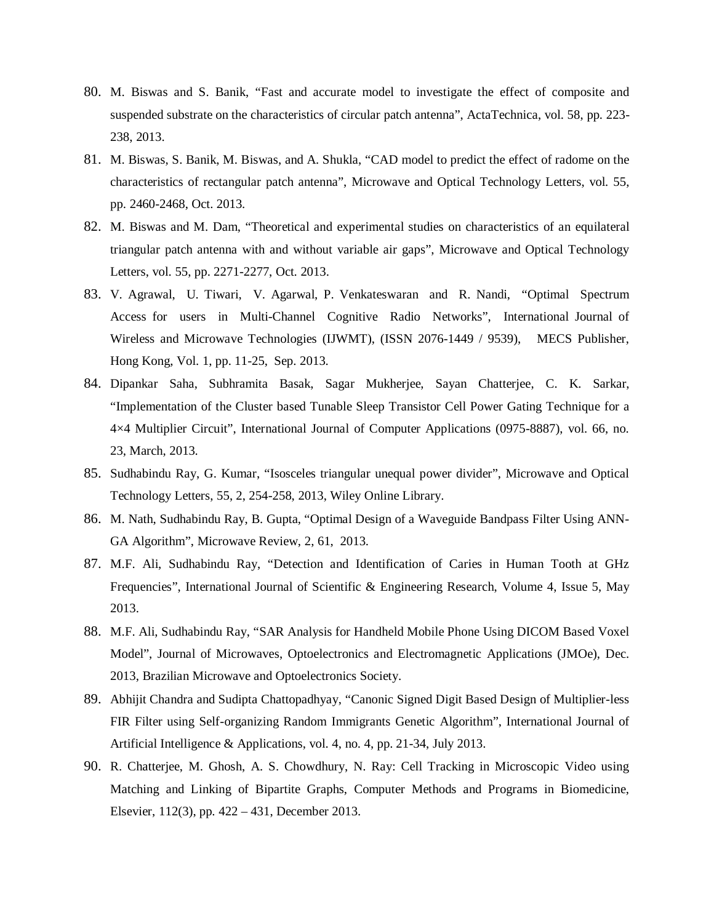- 80. M. Biswas and S. Banik, "Fast and accurate model to investigate the effect of composite and suspended substrate on the characteristics of circular patch antenna", ActaTechnica, vol. 58, pp. 223- 238, 2013.
- 81. M. Biswas, S. Banik, M. Biswas, and A. Shukla, "CAD model to predict the effect of radome on the characteristics of rectangular patch antenna", Microwave and Optical Technology Letters, vol. 55, pp. 2460-2468, Oct. 2013.
- 82. M. Biswas and M. Dam, "Theoretical and experimental studies on characteristics of an equilateral triangular patch antenna with and without variable air gaps", Microwave and Optical Technology Letters, vol. 55, pp. 2271-2277, Oct. 2013.
- 83. V. Agrawal, U. Tiwari, V. Agarwal, P. Venkateswaran and R. Nandi, "Optimal Spectrum Access for users in Multi-Channel Cognitive Radio Networks", International Journal of Wireless and Microwave Technologies (IJWMT), (ISSN 2076-1449 / 9539), MECS Publisher, Hong Kong, Vol. 1, pp. 11-25, Sep. 2013.
- 84. Dipankar Saha, Subhramita Basak, Sagar Mukherjee, Sayan Chatterjee, C. K. Sarkar, "Implementation of the Cluster based Tunable Sleep Transistor Cell Power Gating Technique for a 4×4 Multiplier Circuit", International Journal of Computer Applications (0975-8887), vol. 66, no. 23, March, 2013.
- 85. Sudhabindu Ray, G. Kumar, "Isosceles triangular unequal power divider", Microwave and Optical Technology Letters, 55, 2, 254-258, 2013, Wiley Online Library.
- 86. M. Nath, Sudhabindu Ray, B. Gupta, "Optimal Design of a Waveguide Bandpass Filter Using ANN-GA Algorithm", Microwave Review, 2, 61, 2013.
- 87. M.F. Ali, Sudhabindu Ray, "Detection and Identification of Caries in Human Tooth at GHz Frequencies", International Journal of Scientific & Engineering Research, Volume 4, Issue 5, May 2013.
- 88. M.F. Ali, Sudhabindu Ray, "SAR Analysis for Handheld Mobile Phone Using DICOM Based Voxel Model", Journal of Microwaves, Optoelectronics and Electromagnetic Applications (JMOe), Dec. 2013, Brazilian Microwave and Optoelectronics Society.
- 89. Abhijit Chandra and Sudipta Chattopadhyay, "Canonic Signed Digit Based Design of Multiplier-less FIR Filter using Self-organizing Random Immigrants Genetic Algorithm", International Journal of Artificial Intelligence & Applications, vol. 4, no. 4, pp. 21-34, July 2013.
- 90. R. Chatterjee, M. Ghosh, A. S. Chowdhury, N. Ray: Cell Tracking in Microscopic Video using Matching and Linking of Bipartite Graphs, Computer Methods and Programs in Biomedicine, Elsevier, 112(3), pp. 422 – 431, December 2013.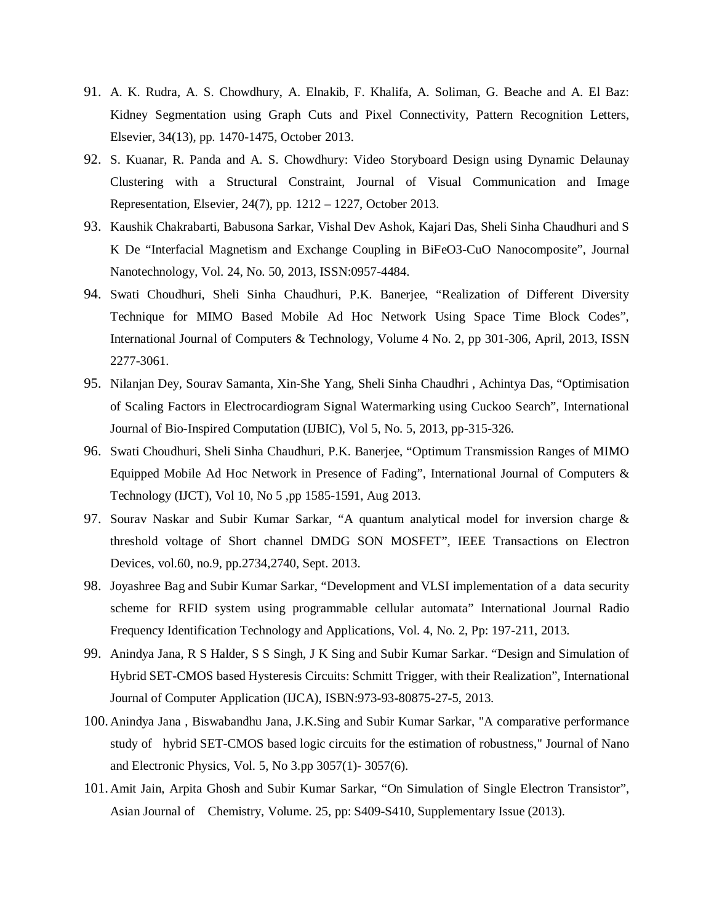- 91. A. K. Rudra, A. S. Chowdhury, A. Elnakib, F. Khalifa, A. Soliman, G. Beache and A. El Baz: Kidney Segmentation using Graph Cuts and Pixel Connectivity, Pattern Recognition Letters, Elsevier, 34(13), pp. 1470-1475, October 2013.
- 92. S. Kuanar, R. Panda and A. S. Chowdhury: Video Storyboard Design using Dynamic Delaunay Clustering with a Structural Constraint, Journal of Visual Communication and Image Representation, Elsevier, 24(7), pp. 1212 – 1227, October 2013.
- 93. Kaushik Chakrabarti, Babusona Sarkar, Vishal Dev Ashok, Kajari Das, Sheli Sinha Chaudhuri and S K De "Interfacial Magnetism and Exchange Coupling in BiFeO3-CuO Nanocomposite", Journal Nanotechnology, Vol. 24, No. 50, 2013, ISSN:0957-4484.
- 94. Swati Choudhuri, Sheli Sinha Chaudhuri, P.K. Banerjee, "Realization of Different Diversity Technique for MIMO Based Mobile Ad Hoc Network Using Space Time Block Codes", International Journal of Computers & Technology, Volume 4 No. 2, pp 301-306, April, 2013, ISSN 2277-3061.
- 95. Nilanjan Dey, Sourav Samanta, Xin-She Yang, Sheli Sinha Chaudhri , Achintya Das, "Optimisation of Scaling Factors in Electrocardiogram Signal Watermarking using Cuckoo Search", International Journal of Bio-Inspired Computation (IJBIC), Vol 5, No. 5, 2013, pp-315-326.
- 96. Swati Choudhuri, Sheli Sinha Chaudhuri, P.K. Banerjee, "Optimum Transmission Ranges of MIMO Equipped Mobile Ad Hoc Network in Presence of Fading", International Journal of Computers & Technology (IJCT), Vol 10, No 5 ,pp 1585-1591, Aug 2013.
- 97. Sourav Naskar and Subir Kumar Sarkar, "A quantum analytical model for inversion charge & threshold voltage of Short channel DMDG SON MOSFET", IEEE Transactions on Electron Devices, vol.60, no.9, pp.2734,2740, Sept. 2013.
- 98. Joyashree Bag and Subir Kumar Sarkar, "Development and VLSI implementation of a data security scheme for RFID system using programmable cellular automata" International Journal Radio Frequency Identification Technology and Applications, Vol. 4, No. 2, Pp: 197-211, 2013.
- 99. Anindya Jana, R S Halder, S S Singh, J K Sing and Subir Kumar Sarkar. "Design and Simulation of Hybrid SET-CMOS based Hysteresis Circuits: Schmitt Trigger, with their Realization", International Journal of Computer Application (IJCA), ISBN:973-93-80875-27-5, 2013.
- 100. Anindya Jana , Biswabandhu Jana, J.K.Sing and Subir Kumar Sarkar, "A comparative performance study of hybrid SET-CMOS based logic circuits for the estimation of robustness," Journal of Nano and Electronic Physics, Vol. 5, No 3.pp 3057(1)- 3057(6).
- 101. Amit Jain, Arpita Ghosh and Subir Kumar Sarkar, "On Simulation of Single Electron Transistor", Asian Journal of Chemistry, Volume. 25, pp: S409-S410, Supplementary Issue (2013).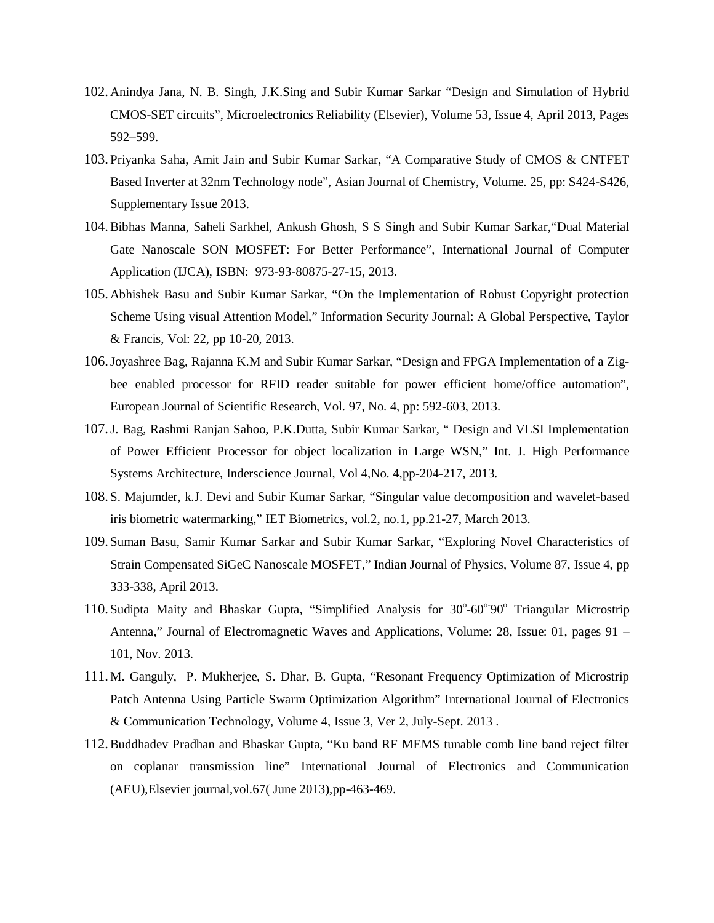- 102. Anindya Jana, N. B. Singh, J.K.Sing and Subir Kumar Sarkar "Design and Simulation of Hybrid CMOS-SET circuits", Microelectronics Reliability (Elsevier), Volume 53, Issue 4, April 2013, Pages 592–599.
- 103. Priyanka Saha, Amit Jain and Subir Kumar Sarkar, "A Comparative Study of CMOS & CNTFET Based Inverter at 32nm Technology node", Asian Journal of Chemistry, Volume. 25, pp: S424-S426, Supplementary Issue 2013.
- 104.Bibhas Manna, Saheli Sarkhel, Ankush Ghosh, S S Singh and Subir Kumar Sarkar,"Dual Material Gate Nanoscale SON MOSFET: For Better Performance", International Journal of Computer Application (IJCA), ISBN: 973-93-80875-27-15, 2013.
- 105. Abhishek Basu and Subir Kumar Sarkar, "On the Implementation of Robust Copyright protection Scheme Using visual Attention Model," Information Security Journal: A Global Perspective, Taylor & Francis, Vol: 22, pp 10-20, 2013.
- 106.Joyashree Bag, Rajanna K.M and Subir Kumar Sarkar, "Design and FPGA Implementation of a Zigbee enabled processor for RFID reader suitable for power efficient home/office automation", European Journal of Scientific Research, Vol. 97, No. 4, pp: 592-603, 2013.
- 107.J. Bag, Rashmi Ranjan Sahoo, P.K.Dutta, Subir Kumar Sarkar, " Design and VLSI Implementation of Power Efficient Processor for object localization in Large WSN," Int. J. High Performance Systems Architecture, Inderscience Journal, Vol 4,No. 4,pp-204-217, 2013.
- 108. S. Majumder, k.J. Devi and Subir Kumar Sarkar, "Singular value decomposition and wavelet-based iris biometric watermarking," IET Biometrics, vol.2, no.1, pp.21-27, March 2013.
- 109. Suman Basu, Samir Kumar Sarkar and Subir Kumar Sarkar, "Exploring Novel Characteristics of Strain Compensated SiGeC Nanoscale MOSFET," Indian Journal of Physics, Volume 87, Issue 4, pp 333-338, April 2013.
- 110. Sudipta Maity and Bhaskar Gupta, "Simplified Analysis for 30°-60°90° Triangular Microstrip Antenna," Journal of Electromagnetic Waves and Applications, Volume: 28, Issue: 01, pages 91 – 101, Nov. 2013.
- 111.M. Ganguly, P. Mukherjee, S. Dhar, B. Gupta, "Resonant Frequency Optimization of Microstrip Patch Antenna Using Particle Swarm Optimization Algorithm" International Journal of Electronics & Communication Technology, Volume 4, Issue 3, Ver 2, July-Sept. 2013 .
- 112.Buddhadev Pradhan and Bhaskar Gupta, "Ku band RF MEMS tunable comb line band reject filter on coplanar transmission line" International Journal of Electronics and Communication (AEU),Elsevier journal,vol.67( June 2013),pp-463-469.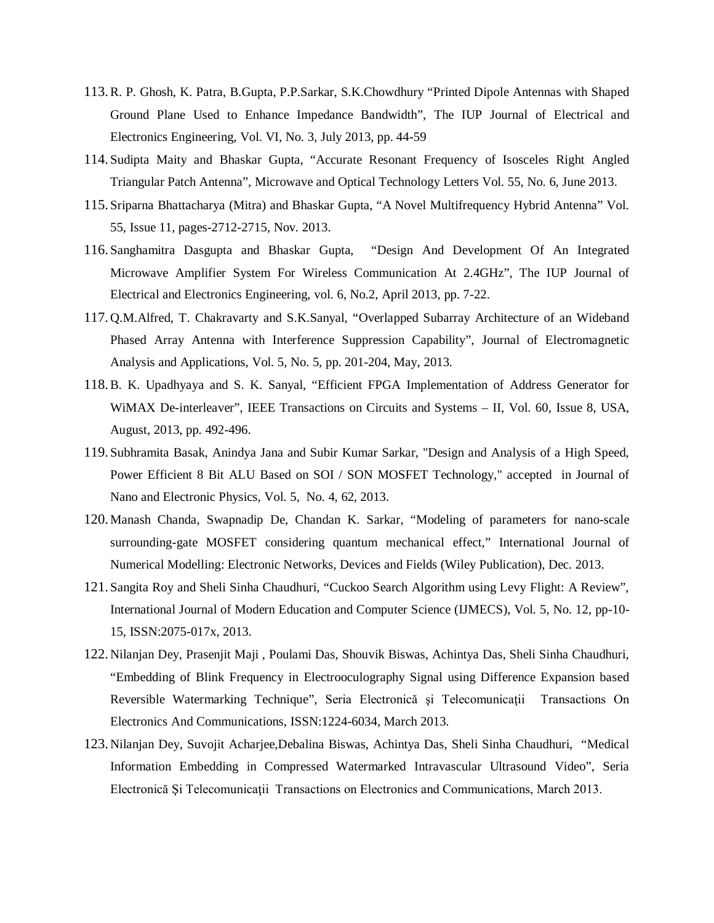- 113.R. P. Ghosh, K. Patra, B.Gupta, P.P.Sarkar, S.K.Chowdhury "Printed Dipole Antennas with Shaped Ground Plane Used to Enhance Impedance Bandwidth", The IUP Journal of Electrical and Electronics Engineering, Vol. VI, No. 3, July 2013, pp. 44-59
- 114. Sudipta Maity and Bhaskar Gupta, "Accurate Resonant Frequency of Isosceles Right Angled Triangular Patch Antenna", Microwave and Optical Technology Letters Vol. 55, No. 6, June 2013.
- 115. Sriparna Bhattacharya (Mitra) and Bhaskar Gupta, "A Novel Multifrequency Hybrid Antenna" Vol. 55, Issue 11, pages-2712-2715, Nov. 2013.
- 116. Sanghamitra Dasgupta and Bhaskar Gupta, "Design And Development Of An Integrated Microwave Amplifier System For Wireless Communication At 2.4GHz", The IUP Journal of Electrical and Electronics Engineering, vol. 6, No.2, April 2013, pp. 7-22.
- 117. Q.M.Alfred, T. Chakravarty and S.K.Sanyal, "Overlapped Subarray Architecture of an Wideband Phased Array Antenna with Interference Suppression Capability", Journal of Electromagnetic Analysis and Applications, Vol. 5, No. 5, pp. 201-204, May, 2013.
- 118.B. K. Upadhyaya and S. K. Sanyal, "Efficient FPGA Implementation of Address Generator for WiMAX De-interleaver", IEEE Transactions on Circuits and Systems – II, Vol. 60, Issue 8, USA, August, 2013, pp. 492-496.
- 119. Subhramita Basak, Anindya Jana and Subir Kumar Sarkar, "Design and Analysis of a High Speed, Power Efficient 8 Bit ALU Based on SOI / SON MOSFET Technology," accepted in Journal of Nano and Electronic Physics, Vol. 5, No. 4, 62, 2013.
- 120.Manash Chanda, Swapnadip De, Chandan K. Sarkar, "Modeling of parameters for nano-scale surrounding-gate MOSFET considering quantum mechanical effect," International Journal of Numerical Modelling: Electronic Networks, Devices and Fields (Wiley Publication), Dec. 2013.
- 121. Sangita Roy and Sheli Sinha Chaudhuri, "Cuckoo Search Algorithm using Levy Flight: A Review", International Journal of Modern Education and Computer Science (IJMECS), Vol. 5, No. 12, pp-10- 15, ISSN:2075-017x, 2013.
- 122. Nilanjan Dey, Prasenjit Maji , Poulami Das, Shouvik Biswas, Achintya Das, Sheli Sinha Chaudhuri, "Embedding of Blink Frequency in Electrooculography Signal using Difference Expansion based Reversible Watermarking Technique", Seria Electronică și Telecomunicații Transactions On Electronics And Communications, ISSN:1224-6034, March 2013.
- 123. Nilanjan Dey, Suvojit Acharjee,Debalina Biswas, Achintya Das, Sheli Sinha Chaudhuri, "Medical Information Embedding in Compressed Watermarked Intravascular Ultrasound Video", Seria Electronică Şi Telecomunicaţii Transactions on Electronics and Communications, March 2013.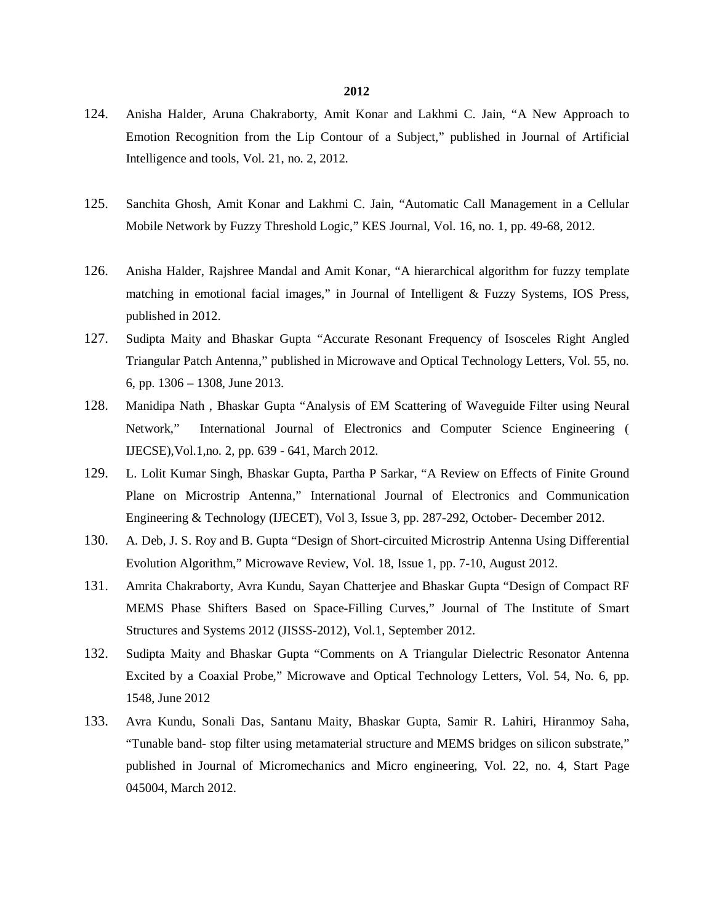- 124. Anisha Halder, Aruna Chakraborty, Amit Konar and Lakhmi C. Jain, "A New Approach to Emotion Recognition from the Lip Contour of a Subject," published in Journal of Artificial Intelligence and tools, Vol. 21, no. 2, 2012.
- 125. Sanchita Ghosh, Amit Konar and Lakhmi C. Jain, "Automatic Call Management in a Cellular Mobile Network by Fuzzy Threshold Logic," KES Journal, Vol. 16, no. 1, pp. 49-68, 2012.
- 126. Anisha Halder, Rajshree Mandal and Amit Konar, "A hierarchical algorithm for fuzzy template matching in emotional facial images," in Journal of Intelligent & Fuzzy Systems, IOS Press, published in 2012.
- 127. Sudipta Maity and Bhaskar Gupta "Accurate Resonant Frequency of Isosceles Right Angled Triangular Patch Antenna," published in Microwave and Optical Technology Letters, Vol. 55, no. 6, pp. 1306 – 1308, June 2013.
- 128. Manidipa Nath , Bhaskar Gupta "Analysis of EM Scattering of Waveguide Filter using Neural Network," International Journal of Electronics and Computer Science Engineering ( IJECSE),Vol.1,no. 2, pp. 639 - 641, March 2012.
- 129. L. Lolit Kumar Singh, Bhaskar Gupta, Partha P Sarkar, "A Review on Effects of Finite Ground Plane on Microstrip Antenna," International Journal of Electronics and Communication Engineering & Technology (IJECET), Vol 3, Issue 3, pp. 287-292, October- December 2012.
- 130. A. Deb, J. S. Roy and B. Gupta "Design of Short-circuited Microstrip Antenna Using Differential Evolution Algorithm," Microwave Review, Vol. 18, Issue 1, pp. 7-10, August 2012.
- 131. Amrita Chakraborty, Avra Kundu, Sayan Chatterjee and Bhaskar Gupta "Design of Compact RF MEMS Phase Shifters Based on Space-Filling Curves," Journal of The Institute of Smart Structures and Systems 2012 (JISSS-2012), Vol.1, September 2012.
- 132. Sudipta Maity and Bhaskar Gupta "Comments on A Triangular Dielectric Resonator Antenna Excited by a Coaxial Probe," Microwave and Optical Technology Letters, Vol. 54, No. 6, pp. 1548, June 2012
- 133. Avra Kundu, Sonali Das, Santanu Maity, Bhaskar Gupta, Samir R. Lahiri, Hiranmoy Saha, "Tunable band- stop filter using metamaterial structure and MEMS bridges on silicon substrate," published in Journal of Micromechanics and Micro engineering, Vol. 22, no. 4, Start Page 045004, March 2012.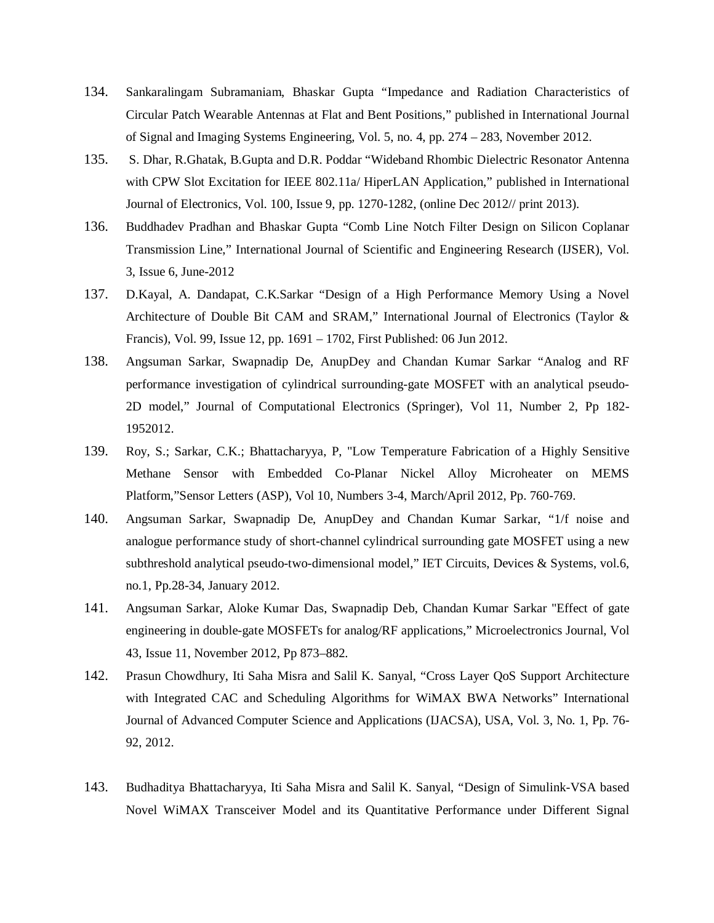- 134. Sankaralingam Subramaniam, Bhaskar Gupta "Impedance and Radiation Characteristics of Circular Patch Wearable Antennas at Flat and Bent Positions," published in International Journal of Signal and Imaging Systems Engineering, Vol. 5, no. 4, pp. 274 – 283, November 2012.
- 135. S. Dhar, R.Ghatak, B.Gupta and D.R. Poddar "Wideband Rhombic Dielectric Resonator Antenna with CPW Slot Excitation for IEEE 802.11a/ HiperLAN Application," published in International Journal of Electronics, Vol. 100, Issue 9, pp. 1270-1282, (online Dec 2012// print 2013).
- 136. Buddhadev Pradhan and Bhaskar Gupta "Comb Line Notch Filter Design on Silicon Coplanar Transmission Line," International Journal of Scientific and Engineering Research (IJSER), Vol. 3, Issue 6, June-2012
- 137. D.Kayal, A. Dandapat, C.K.Sarkar "Design of a High Performance Memory Using a Novel Architecture of Double Bit CAM and SRAM," International Journal of Electronics (Taylor & Francis), Vol. 99, Issue 12, pp. 1691 – 1702, First Published: 06 Jun 2012.
- 138. Angsuman Sarkar, Swapnadip De, AnupDey and Chandan Kumar Sarkar "Analog and RF performance investigation of cylindrical surrounding-gate MOSFET with an analytical pseudo-2D model," Journal of Computational Electronics (Springer), Vol 11, Number 2, Pp 182- 1952012.
- 139. Roy, S.; Sarkar, C.K.; Bhattacharyya, P, "Low Temperature Fabrication of a Highly Sensitive Methane Sensor with Embedded Co-Planar Nickel Alloy Microheater on MEMS Platform,"Sensor Letters (ASP), Vol 10, Numbers 3-4, March/April 2012, Pp. 760-769.
- 140. Angsuman Sarkar, Swapnadip De, AnupDey and Chandan Kumar Sarkar, "1/f noise and analogue performance study of short-channel cylindrical surrounding gate MOSFET using a new subthreshold analytical pseudo-two-dimensional model," IET Circuits, Devices & Systems, vol.6, no.1, Pp.28-34, January 2012.
- 141. Angsuman Sarkar, Aloke Kumar Das, Swapnadip Deb, Chandan Kumar Sarkar "Effect of gate engineering in double-gate MOSFETs for analog/RF applications," Microelectronics Journal, Vol 43, Issue 11, November 2012, Pp 873–882.
- 142. Prasun Chowdhury, Iti Saha Misra and Salil K. Sanyal, "Cross Layer QoS Support Architecture with Integrated CAC and Scheduling Algorithms for WiMAX BWA Networks" International Journal of Advanced Computer Science and Applications (IJACSA), USA, Vol. 3, No. 1, Pp. 76- 92, 2012.
- 143. Budhaditya Bhattacharyya, Iti Saha Misra and Salil K. Sanyal, "Design of Simulink-VSA based Novel WiMAX Transceiver Model and its Quantitative Performance under Different Signal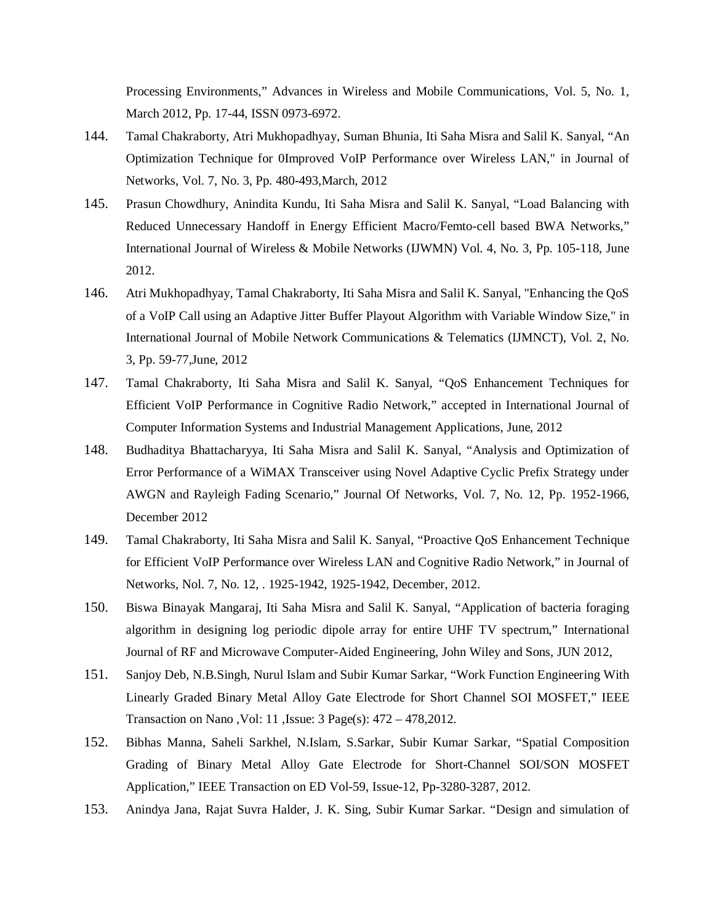Processing Environments," Advances in Wireless and Mobile Communications, Vol. 5, No. 1, March 2012, Pp. 17-44, ISSN 0973-6972.

- 144. Tamal Chakraborty, Atri Mukhopadhyay, Suman Bhunia, Iti Saha Misra and Salil K. Sanyal, "An Optimization Technique for 0Improved VoIP Performance over Wireless LAN," in Journal of Networks, Vol. 7, No. 3, Pp. 480-493,March, 2012
- 145. Prasun Chowdhury, Anindita Kundu, Iti Saha Misra and Salil K. Sanyal, "Load Balancing with Reduced Unnecessary Handoff in Energy Efficient Macro/Femto-cell based BWA Networks," International Journal of Wireless & Mobile Networks (IJWMN) Vol. 4, No. 3, Pp. 105-118, June 2012.
- 146. Atri Mukhopadhyay, Tamal Chakraborty, Iti Saha Misra and Salil K. Sanyal, "Enhancing the QoS of a VoIP Call using an Adaptive Jitter Buffer Playout Algorithm with Variable Window Size," in International Journal of Mobile Network Communications & Telematics (IJMNCT), Vol. 2, No. 3, Pp. 59-77,June, 2012
- 147. Tamal Chakraborty, Iti Saha Misra and Salil K. Sanyal, "QoS Enhancement Techniques for Efficient VoIP Performance in Cognitive Radio Network," accepted in International Journal of Computer Information Systems and Industrial Management Applications, June, 2012
- 148. Budhaditya Bhattacharyya, Iti Saha Misra and Salil K. Sanyal, "Analysis and Optimization of Error Performance of a WiMAX Transceiver using Novel Adaptive Cyclic Prefix Strategy under AWGN and Rayleigh Fading Scenario," Journal Of Networks, Vol. 7, No. 12, Pp. 1952-1966, December 2012
- 149. Tamal Chakraborty, Iti Saha Misra and Salil K. Sanyal, "Proactive QoS Enhancement Technique for Efficient VoIP Performance over Wireless LAN and Cognitive Radio Network," in Journal of Networks, Nol. 7, No. 12, . 1925-1942, 1925-1942, December, 2012.
- 150. Biswa Binayak Mangaraj, Iti Saha Misra and Salil K. Sanyal, "Application of bacteria foraging algorithm in designing log periodic dipole array for entire UHF TV spectrum," International Journal of RF and Microwave Computer-Aided Engineering, John Wiley and Sons, JUN 2012,
- 151. Sanjoy Deb, N.B.Singh, Nurul Islam and Subir Kumar Sarkar, "Work Function Engineering With Linearly Graded Binary Metal Alloy Gate Electrode for Short Channel SOI MOSFET," IEEE Transaction on Nano ,Vol: 11 ,Issue: 3 Page(s): 472 – 478,2012.
- 152. Bibhas Manna, Saheli Sarkhel, N.Islam, S.Sarkar, Subir Kumar Sarkar, "Spatial Composition Grading of Binary Metal Alloy Gate Electrode for Short-Channel SOI/SON MOSFET Application," IEEE Transaction on ED Vol-59, Issue-12, Pp-3280-3287, 2012.
- 153. Anindya Jana, Rajat Suvra Halder, J. K. Sing, Subir Kumar Sarkar. "Design and simulation of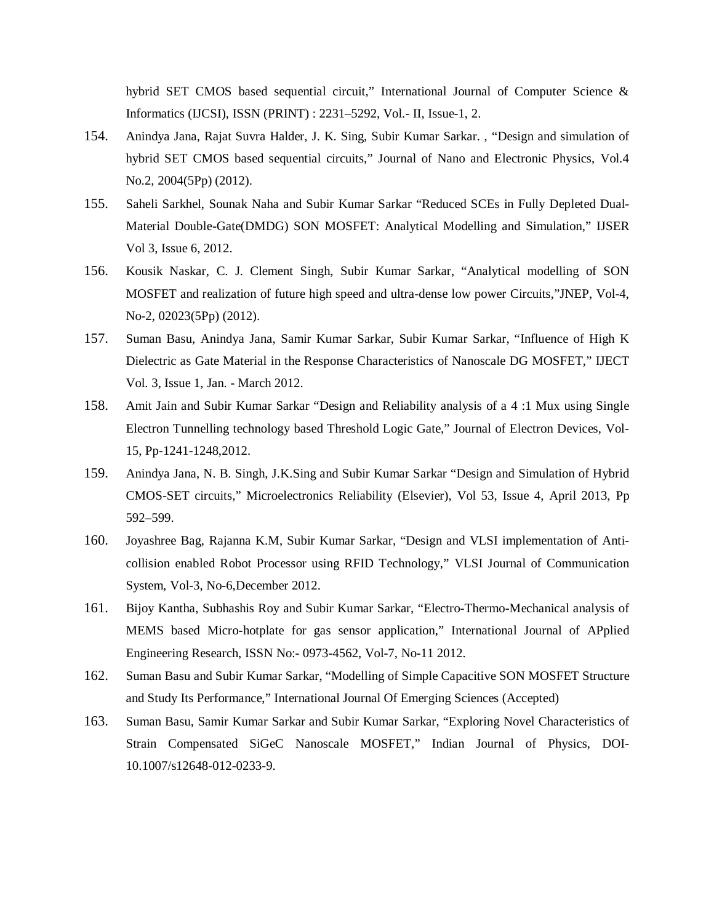hybrid SET CMOS based sequential circuit," International Journal of Computer Science & Informatics (IJCSI), ISSN (PRINT) : 2231–5292, Vol.- II, Issue-1, 2.

- 154. Anindya Jana, Rajat Suvra Halder, J. K. Sing, Subir Kumar Sarkar. , "Design and simulation of hybrid SET CMOS based sequential circuits," Journal of Nano and Electronic Physics, Vol.4 No.2, 2004(5Pp) (2012).
- 155. Saheli Sarkhel, Sounak Naha and Subir Kumar Sarkar "Reduced SCEs in Fully Depleted Dual-Material Double-Gate(DMDG) SON MOSFET: Analytical Modelling and Simulation," IJSER Vol 3, Issue 6, 2012.
- 156. Kousik Naskar, C. J. Clement Singh, Subir Kumar Sarkar, "Analytical modelling of SON MOSFET and realization of future high speed and ultra-dense low power Circuits,"JNEP, Vol-4, No-2, 02023(5Pp) (2012).
- 157. Suman Basu, Anindya Jana, Samir Kumar Sarkar, Subir Kumar Sarkar, "Influence of High K Dielectric as Gate Material in the Response Characteristics of Nanoscale DG MOSFET," IJECT Vol. 3, Issue 1, Jan. - March 2012.
- 158. Amit Jain and Subir Kumar Sarkar "Design and Reliability analysis of a 4 :1 Mux using Single Electron Tunnelling technology based Threshold Logic Gate," Journal of Electron Devices, Vol-15, Pp-1241-1248,2012.
- 159. Anindya Jana, N. B. Singh, J.K.Sing and Subir Kumar Sarkar "Design and Simulation of Hybrid CMOS-SET circuits," Microelectronics Reliability (Elsevier), Vol 53, Issue 4, April 2013, Pp 592–599.
- 160. Joyashree Bag, Rajanna K.M, Subir Kumar Sarkar, "Design and VLSI implementation of Anticollision enabled Robot Processor using RFID Technology," VLSI Journal of Communication System, Vol-3, No-6,December 2012.
- 161. Bijoy Kantha, Subhashis Roy and Subir Kumar Sarkar, "Electro-Thermo-Mechanical analysis of MEMS based Micro-hotplate for gas sensor application," International Journal of APplied Engineering Research, ISSN No:- 0973-4562, Vol-7, No-11 2012.
- 162. Suman Basu and Subir Kumar Sarkar, "Modelling of Simple Capacitive SON MOSFET Structure and Study Its Performance," International Journal Of Emerging Sciences (Accepted)
- 163. Suman Basu, Samir Kumar Sarkar and Subir Kumar Sarkar, "Exploring Novel Characteristics of Strain Compensated SiGeC Nanoscale MOSFET," Indian Journal of Physics, DOI-10.1007/s12648-012-0233-9.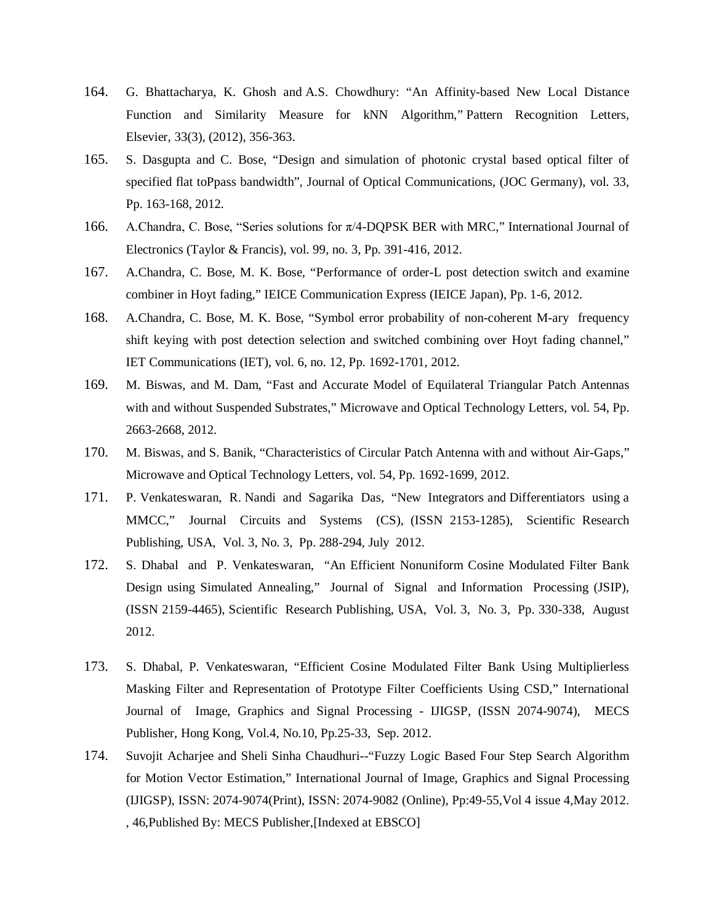- 164. G. Bhattacharya, K. Ghosh and A.S. Chowdhury: "An Affinity-based New Local Distance Function and Similarity Measure for kNN Algorithm," Pattern Recognition Letters, Elsevier, 33(3), (2012), 356-363.
- 165. S. Dasgupta and C. Bose, "Design and simulation of photonic crystal based optical filter of specified flat toPpass bandwidth", Journal of Optical Communications, (JOC Germany), vol. 33, Pp. 163-168, 2012.
- 166. A.Chandra, C. Bose, "Series solutions for π/4-DQPSK BER with MRC," International Journal of Electronics (Taylor & Francis), vol. 99, no. 3, Pp. 391-416, 2012.
- 167. A.Chandra, C. Bose, M. K. Bose, "Performance of order-L post detection switch and examine combiner in Hoyt fading," IEICE Communication Express (IEICE Japan), Pp. 1-6, 2012.
- 168. A.Chandra, C. Bose, M. K. Bose, "Symbol error probability of non-coherent M-ary frequency shift keying with post detection selection and switched combining over Hoyt fading channel," IET Communications (IET), vol. 6, no. 12, Pp. 1692-1701, 2012.
- 169. M. Biswas, and M. Dam, "Fast and Accurate Model of Equilateral Triangular Patch Antennas with and without Suspended Substrates," Microwave and Optical Technology Letters, vol. 54, Pp. 2663-2668, 2012.
- 170. M. Biswas, and S. Banik, "Characteristics of Circular Patch Antenna with and without Air-Gaps," Microwave and Optical Technology Letters, vol. 54, Pp. 1692-1699, 2012.
- 171. P. Venkateswaran, R. Nandi and Sagarika Das, "New Integrators and Differentiators using a MMCC," Journal Circuits and Systems (CS), (ISSN 2153-1285), Scientific Research Publishing, USA, Vol. 3, No. 3, Pp. 288-294, July 2012.
- 172. S. Dhabal and P. Venkateswaran, "An Efficient Nonuniform Cosine Modulated Filter Bank Design using Simulated Annealing," Journal of Signal and Information Processing (JSIP), (ISSN 2159-4465), Scientific Research Publishing, USA, Vol. 3, No. 3, Pp. 330-338, August 2012.
- 173. S. Dhabal, P. Venkateswaran, "Efficient Cosine Modulated Filter Bank Using Multiplierless Masking Filter and Representation of Prototype Filter Coefficients Using CSD," International Journal of Image, Graphics and Signal Processing - IJIGSP, (ISSN 2074-9074), MECS Publisher, Hong Kong, Vol.4, No.10, Pp.25-33, Sep. 2012.
- 174. Suvojit Acharjee and Sheli Sinha Chaudhuri--"Fuzzy Logic Based Four Step Search Algorithm for Motion Vector Estimation," International Journal of Image, Graphics and Signal Processing (IJIGSP), ISSN: 2074-9074(Print), ISSN: 2074-9082 (Online), Pp:49-55,Vol 4 issue 4,May 2012. , 46,Published By: MECS Publisher,[Indexed at EBSCO]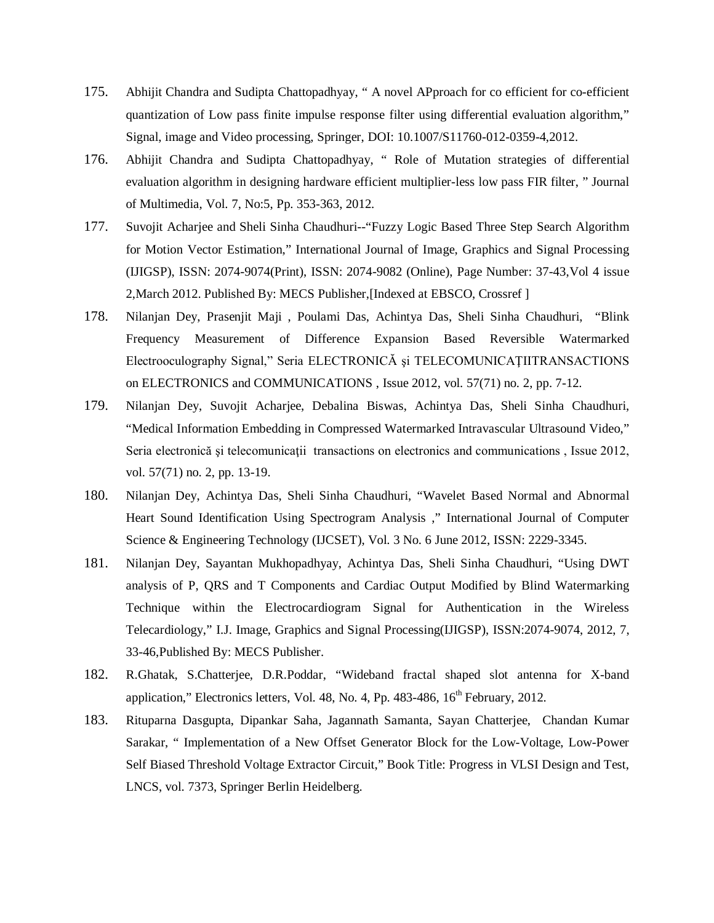- 175. Abhijit Chandra and Sudipta Chattopadhyay, " A novel APproach for co efficient for co-efficient quantization of Low pass finite impulse response filter using differential evaluation algorithm," Signal, image and Video processing, Springer, DOI: 10.1007/S11760-012-0359-4,2012.
- 176. Abhijit Chandra and Sudipta Chattopadhyay, " Role of Mutation strategies of differential evaluation algorithm in designing hardware efficient multiplier-less low pass FIR filter, " Journal of Multimedia, Vol. 7, No:5, Pp. 353-363, 2012.
- 177. Suvojit Acharjee and Sheli Sinha Chaudhuri--"Fuzzy Logic Based Three Step Search Algorithm for Motion Vector Estimation," International Journal of Image, Graphics and Signal Processing (IJIGSP), ISSN: 2074-9074(Print), ISSN: 2074-9082 (Online), Page Number: 37-43,Vol 4 issue 2,March 2012. Published By: MECS Publisher,[Indexed at EBSCO, Crossref ]
- 178. Nilanjan Dey, Prasenjit Maji , Poulami Das, Achintya Das, Sheli Sinha Chaudhuri, "Blink Frequency Measurement of Difference Expansion Based Reversible Watermarked Electrooculography Signal," Seria ELECTRONICĂ şi TELECOMUNICAŢIITRANSACTIONS on ELECTRONICS and COMMUNICATIONS , Issue 2012, vol. 57(71) no. 2, pp. 7-12.
- 179. Nilanjan Dey, Suvojit Acharjee, Debalina Biswas, Achintya Das, Sheli Sinha Chaudhuri, "Medical Information Embedding in Compressed Watermarked Intravascular Ultrasound Video," Seria electronică și telecomunicații transactions on electronics and communications , Issue 2012, vol. 57(71) no. 2, pp. 13-19.
- 180. Nilanjan Dey, Achintya Das, Sheli Sinha Chaudhuri, "Wavelet Based Normal and Abnormal Heart Sound Identification Using Spectrogram Analysis ," International Journal of Computer Science & Engineering Technology (IJCSET), Vol. 3 No. 6 June 2012, ISSN: 2229-3345.
- 181. Nilanjan Dey, Sayantan Mukhopadhyay, Achintya Das, Sheli Sinha Chaudhuri, "Using DWT analysis of P, QRS and T Components and Cardiac Output Modified by Blind Watermarking Technique within the Electrocardiogram Signal for Authentication in the Wireless Telecardiology," I.J. Image, Graphics and Signal Processing(IJIGSP), ISSN:2074-9074, 2012, 7, 33-46,Published By: MECS Publisher.
- 182. R.Ghatak, S.Chatterjee, D.R.Poddar, "Wideband fractal shaped slot antenna for X-band application," Electronics letters, Vol. 48, No. 4, Pp.  $483-486$ ,  $16<sup>th</sup>$  February, 2012.
- 183. Rituparna Dasgupta, Dipankar Saha, Jagannath Samanta, Sayan Chatterjee, Chandan Kumar Sarakar, " Implementation of a New Offset Generator Block for the Low-Voltage, Low-Power Self Biased Threshold Voltage Extractor Circuit," Book Title: Progress in VLSI Design and Test, LNCS, vol. 7373, Springer Berlin Heidelberg.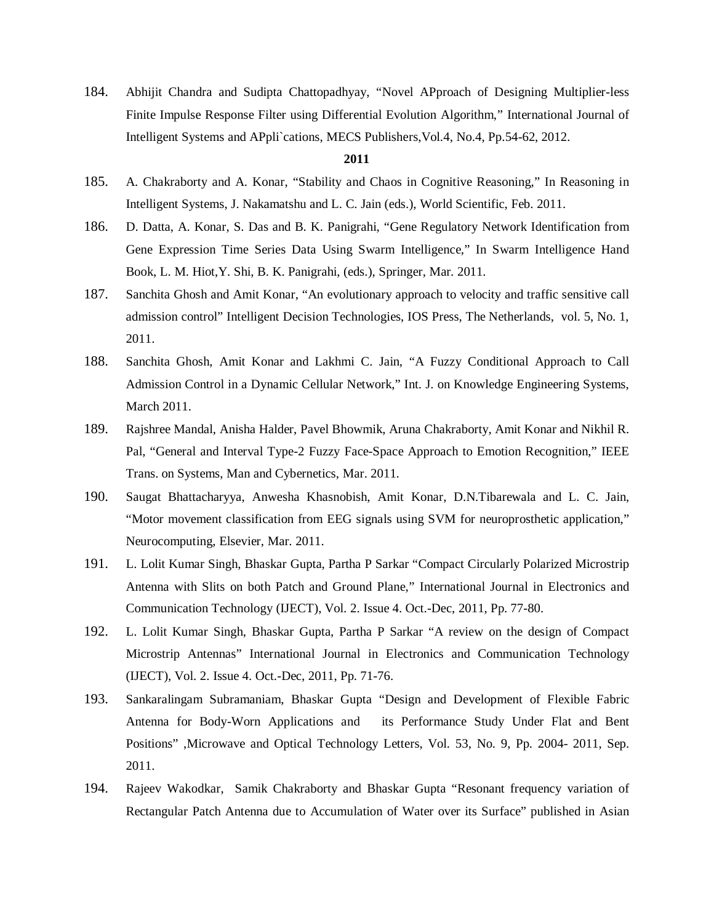184. Abhijit Chandra and Sudipta Chattopadhyay, "Novel APproach of Designing Multiplier-less Finite Impulse Response Filter using Differential Evolution Algorithm," International Journal of Intelligent Systems and APpli`cations, MECS Publishers,Vol.4, No.4, Pp.54-62, 2012.

- 185. A. Chakraborty and A. Konar, "Stability and Chaos in Cognitive Reasoning," In Reasoning in Intelligent Systems, J. Nakamatshu and L. C. Jain (eds.), World Scientific, Feb. 2011.
- 186. D. Datta, A. Konar, S. Das and B. K. Panigrahi, "Gene Regulatory Network Identification from Gene Expression Time Series Data Using Swarm Intelligence," In Swarm Intelligence Hand Book, L. M. Hiot,Y. Shi, B. K. Panigrahi, (eds.), Springer, Mar. 2011.
- 187. Sanchita Ghosh and Amit Konar, "An evolutionary approach to velocity and traffic sensitive call admission control" Intelligent Decision Technologies, IOS Press, The Netherlands, vol. 5, No. 1, 2011.
- 188. Sanchita Ghosh, Amit Konar and Lakhmi C. Jain, "A Fuzzy Conditional Approach to Call Admission Control in a Dynamic Cellular Network," Int. J. on Knowledge Engineering Systems, March 2011.
- 189. Rajshree Mandal, Anisha Halder, Pavel Bhowmik, Aruna Chakraborty, Amit Konar and Nikhil R. Pal, "General and Interval Type-2 Fuzzy Face-Space Approach to Emotion Recognition," IEEE Trans. on Systems, Man and Cybernetics, Mar. 2011.
- 190. Saugat Bhattacharyya, Anwesha Khasnobish, Amit Konar, D.N.Tibarewala and L. C. Jain, "Motor movement classification from EEG signals using SVM for neuroprosthetic application," Neurocomputing, Elsevier, Mar. 2011.
- 191. L. Lolit Kumar Singh, Bhaskar Gupta, Partha P Sarkar "Compact Circularly Polarized Microstrip Antenna with Slits on both Patch and Ground Plane," International Journal in Electronics and Communication Technology (IJECT), Vol. 2. Issue 4. Oct.-Dec, 2011, Pp. 77-80.
- 192. L. Lolit Kumar Singh, Bhaskar Gupta, Partha P Sarkar "A review on the design of Compact Microstrip Antennas" International Journal in Electronics and Communication Technology (IJECT), Vol. 2. Issue 4. Oct.-Dec, 2011, Pp. 71-76.
- 193. Sankaralingam Subramaniam, Bhaskar Gupta "Design and Development of Flexible Fabric Antenna for Body-Worn Applications and its Performance Study Under Flat and Bent Positions" ,Microwave and Optical Technology Letters, Vol. 53, No. 9, Pp. 2004- 2011, Sep. 2011.
- 194. Rajeev Wakodkar, Samik Chakraborty and Bhaskar Gupta "Resonant frequency variation of Rectangular Patch Antenna due to Accumulation of Water over its Surface" published in Asian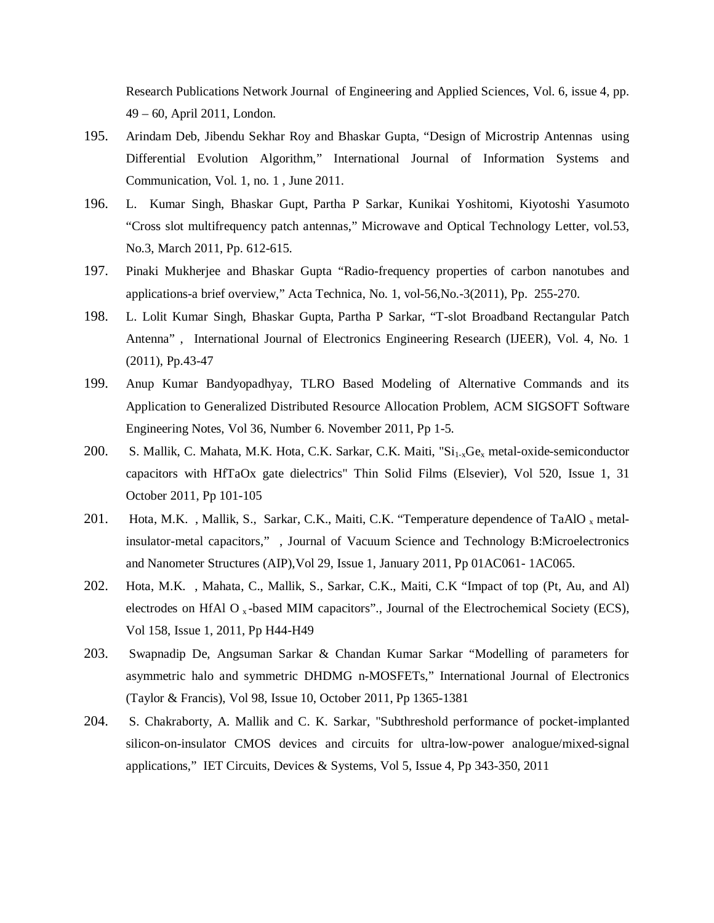Research Publications Network Journal of Engineering and Applied Sciences, Vol. 6, issue 4, pp. 49 – 60, April 2011, London.

- 195. Arindam Deb, Jibendu Sekhar Roy and Bhaskar Gupta, "Design of Microstrip Antennas using Differential Evolution Algorithm," International Journal of Information Systems and Communication, Vol. 1, no. 1 , June 2011.
- 196. L. Kumar Singh, Bhaskar Gupt, Partha P Sarkar, Kunikai Yoshitomi, Kiyotoshi Yasumoto "Cross slot multifrequency patch antennas," Microwave and Optical Technology Letter, vol.53, No.3, March 2011, Pp. 612-615.
- 197. Pinaki Mukherjee and Bhaskar Gupta "Radio-frequency properties of carbon nanotubes and applications-a brief overview," Acta Technica, No. 1, vol-56,No.-3(2011), Pp. 255-270.
- 198. L. Lolit Kumar Singh, Bhaskar Gupta, Partha P Sarkar, "T-slot Broadband Rectangular Patch Antenna" , International Journal of Electronics Engineering Research (IJEER), Vol. 4, No. 1 (2011), Pp.43-47
- 199. Anup Kumar Bandyopadhyay, TLRO Based Modeling of Alternative Commands and its Application to Generalized Distributed Resource Allocation Problem, ACM SIGSOFT Software Engineering Notes, Vol 36, Number 6. November 2011, Pp 1-5.
- 200. S. Mallik, C. Mahata, M.K. Hota, C.K. Sarkar, C.K. Maiti, "Si<sub>1-x</sub>Ge<sub>x</sub> metal-oxide-semiconductor capacitors with HfTaOx gate dielectrics" Thin Solid Films (Elsevier), Vol 520, Issue 1, 31 October 2011, Pp 101-105
- 201. Hota, M.K., Mallik, S., Sarkar, C.K., Maiti, C.K. "Temperature dependence of TaAlO  $<sub>x</sub>$  metal-</sub> insulator-metal capacitors," , Journal of Vacuum Science and Technology B:Microelectronics and Nanometer Structures (AIP),Vol 29, Issue 1, January 2011, Pp 01AC061- 1AC065.
- 202. Hota, M.K. , Mahata, C., Mallik, S., Sarkar, C.K., Maiti, C.K "Impact of top (Pt, Au, and Al) electrodes on HfAl O<sub>x</sub>-based MIM capacitors"., Journal of the Electrochemical Society (ECS), Vol 158, Issue 1, 2011, Pp H44-H49
- 203. Swapnadip De, Angsuman Sarkar & Chandan Kumar Sarkar "Modelling of parameters for asymmetric halo and symmetric DHDMG n-MOSFETs," International Journal of Electronics (Taylor & Francis), Vol 98, Issue 10, October 2011, Pp 1365-1381
- 204. S. Chakraborty, A. Mallik and C. K. Sarkar, "Subthreshold performance of pocket-implanted silicon-on-insulator CMOS devices and circuits for ultra-low-power analogue/mixed-signal applications," IET Circuits, Devices & Systems, Vol 5, Issue 4, Pp 343-350, 2011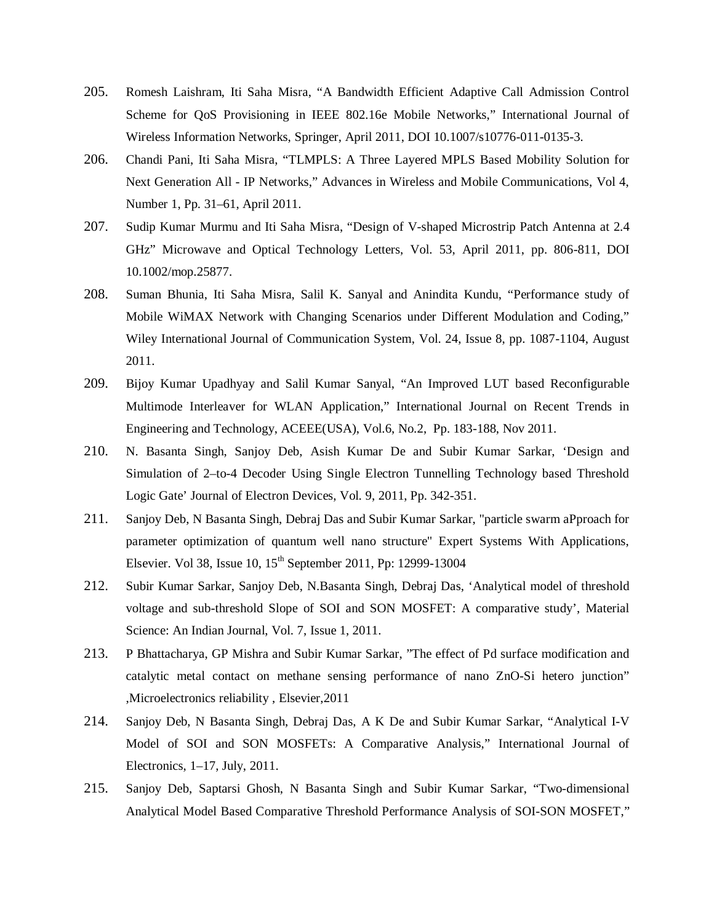- 205. Romesh Laishram, Iti Saha Misra, "A Bandwidth Efficient Adaptive Call Admission Control Scheme for QoS Provisioning in IEEE 802.16e Mobile Networks," International Journal of Wireless Information Networks, Springer, April 2011, DOI 10.1007/s10776-011-0135-3.
- 206. Chandi Pani, Iti Saha Misra, "TLMPLS: A Three Layered MPLS Based Mobility Solution for Next Generation All - IP Networks," Advances in Wireless and Mobile Communications, Vol 4, Number 1, Pp. 31–61, April 2011.
- 207. Sudip Kumar Murmu and Iti Saha Misra, "Design of V-shaped Microstrip Patch Antenna at 2.4 GHz" Microwave and Optical Technology Letters, Vol. 53, April 2011, pp. 806-811, DOI 10.1002/mop.25877.
- 208. Suman Bhunia, Iti Saha Misra, Salil K. Sanyal and Anindita Kundu, "Performance study of Mobile WiMAX Network with Changing Scenarios under Different Modulation and Coding," Wiley International Journal of Communication System, Vol. 24, Issue 8, pp. 1087-1104, August 2011.
- 209. Bijoy Kumar Upadhyay and Salil Kumar Sanyal, "An Improved LUT based Reconfigurable Multimode Interleaver for WLAN Application," International Journal on Recent Trends in Engineering and Technology, ACEEE(USA), Vol.6, No.2, Pp. 183-188, Nov 2011.
- 210. N. Basanta Singh, Sanjoy Deb, Asish Kumar De and Subir Kumar Sarkar, 'Design and Simulation of 2–to-4 Decoder Using Single Electron Tunnelling Technology based Threshold Logic Gate' Journal of Electron Devices, Vol. 9, 2011, Pp. 342-351.
- 211. Sanjoy Deb, N Basanta Singh, Debraj Das and Subir Kumar Sarkar, "particle swarm aPproach for parameter optimization of quantum well nano structure" Expert Systems With Applications, Elsevier. Vol 38, Issue 10, 15<sup>th</sup> September 2011, Pp: 12999-13004
- 212. Subir Kumar Sarkar, Sanjoy Deb, N.Basanta Singh, Debraj Das, 'Analytical model of threshold voltage and sub-threshold Slope of SOI and SON MOSFET: A comparative study', Material Science: An Indian Journal, Vol. 7, Issue 1, 2011.
- 213. P Bhattacharya, GP Mishra and Subir Kumar Sarkar, "The effect of Pd surface modification and catalytic metal contact on methane sensing performance of nano ZnO-Si hetero junction" ,Microelectronics reliability , Elsevier,2011
- 214. Sanjoy Deb, N Basanta Singh, Debraj Das, A K De and Subir Kumar Sarkar, "Analytical I-V Model of SOI and SON MOSFETs: A Comparative Analysis," International Journal of Electronics, 1–17, July, 2011.
- 215. Sanjoy Deb, Saptarsi Ghosh, N Basanta Singh and Subir Kumar Sarkar, "Two-dimensional Analytical Model Based Comparative Threshold Performance Analysis of SOI-SON MOSFET,"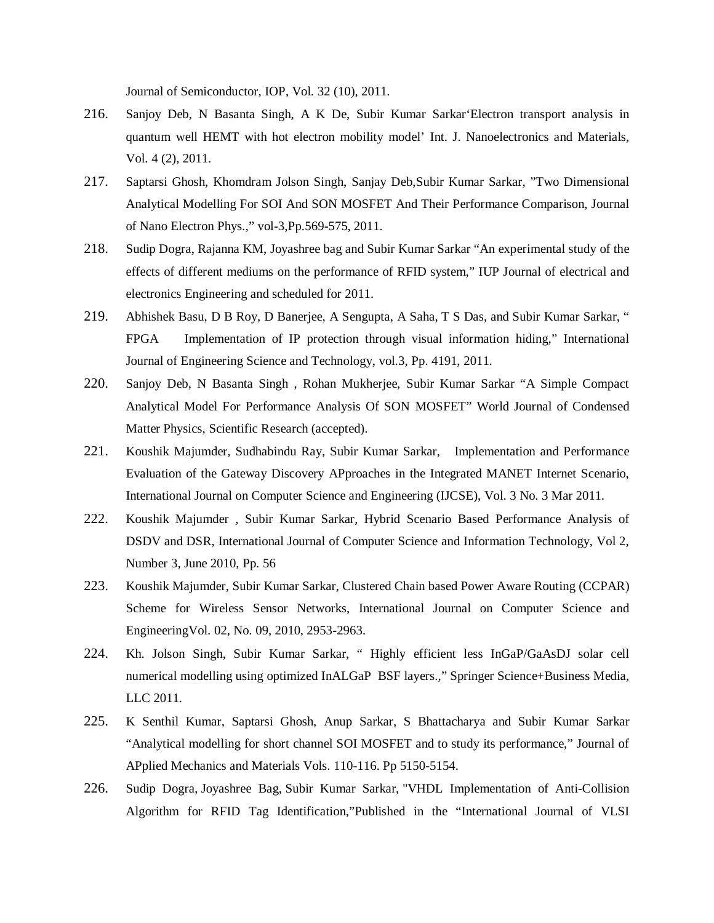Journal of Semiconductor, IOP, Vol. 32 (10), 2011.

- 216. Sanjoy Deb, N Basanta Singh, A K De, Subir Kumar Sarkar'Electron transport analysis in quantum well HEMT with hot electron mobility model' Int. J. Nanoelectronics and Materials, Vol. 4 (2), 2011.
- 217. Saptarsi Ghosh, Khomdram Jolson Singh, Sanjay Deb,Subir Kumar Sarkar, "Two Dimensional Analytical Modelling For SOI And SON MOSFET And Their Performance Comparison, Journal of Nano Electron Phys.," vol-3,Pp.569-575, 2011.
- 218. Sudip Dogra, Rajanna KM, Joyashree bag and Subir Kumar Sarkar "An experimental study of the effects of different mediums on the performance of RFID system," IUP Journal of electrical and electronics Engineering and scheduled for 2011.
- 219. Abhishek Basu, D B Roy, D Banerjee, A Sengupta, A Saha, T S Das, and Subir Kumar Sarkar, " FPGA Implementation of IP protection through visual information hiding," International Journal of Engineering Science and Technology, vol.3, Pp. 4191, 2011.
- 220. Sanjoy Deb, N Basanta Singh , Rohan Mukherjee, Subir Kumar Sarkar "A Simple Compact Analytical Model For Performance Analysis Of SON MOSFET" World Journal of Condensed Matter Physics, Scientific Research (accepted).
- 221. Koushik Majumder, Sudhabindu Ray, Subir Kumar Sarkar, Implementation and Performance Evaluation of the Gateway Discovery APproaches in the Integrated MANET Internet Scenario, International Journal on Computer Science and Engineering (IJCSE), Vol. 3 No. 3 Mar 2011.
- 222. Koushik Majumder , Subir Kumar Sarkar, Hybrid Scenario Based Performance Analysis of DSDV and DSR, International Journal of Computer Science and Information Technology, Vol 2, Number 3, June 2010, Pp. 56
- 223. Koushik Majumder, Subir Kumar Sarkar, Clustered Chain based Power Aware Routing (CCPAR) Scheme for Wireless Sensor Networks, International Journal on Computer Science and EngineeringVol. 02, No. 09, 2010, 2953-2963.
- 224. Kh. Jolson Singh, Subir Kumar Sarkar, " Highly efficient less InGaP/GaAsDJ solar cell numerical modelling using optimized InALGaP BSF layers.," Springer Science+Business Media, LLC 2011.
- 225. K Senthil Kumar, Saptarsi Ghosh, Anup Sarkar, S Bhattacharya and Subir Kumar Sarkar "Analytical modelling for short channel SOI MOSFET and to study its performance," Journal of APplied Mechanics and Materials Vols. 110-116. Pp 5150-5154.
- 226. Sudip Dogra, Joyashree Bag, Subir Kumar Sarkar, "VHDL Implementation of Anti-Collision Algorithm for RFID Tag Identification,"Published in the "International Journal of VLSI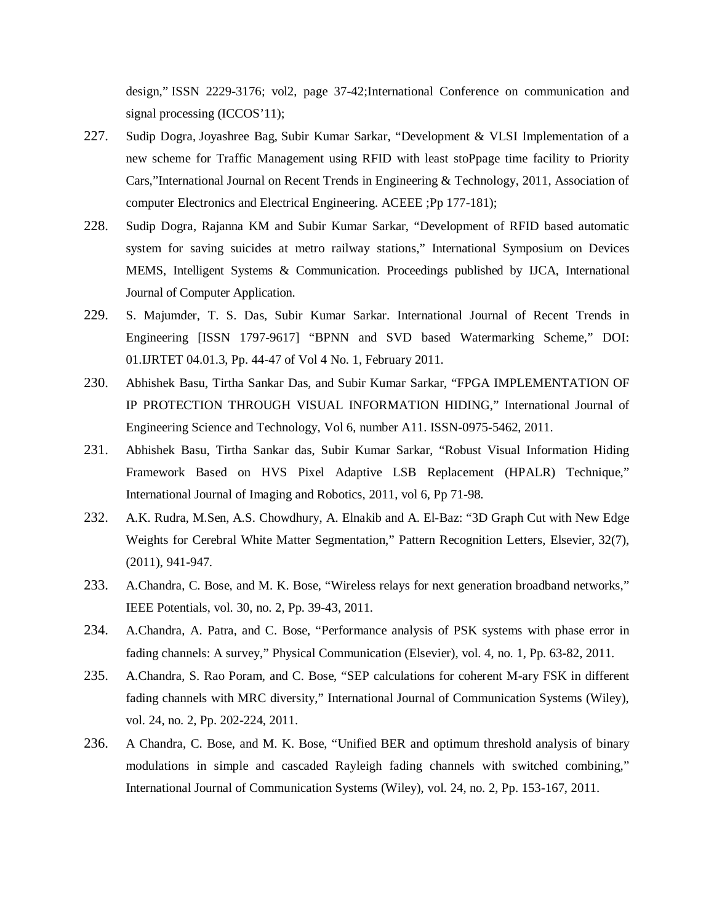design," ISSN 2229-3176; vol2, page 37-42;International Conference on communication and signal processing (ICCOS'11);

- 227. Sudip Dogra, Joyashree Bag, Subir Kumar Sarkar, "Development & VLSI Implementation of a new scheme for Traffic Management using RFID with least stoPpage time facility to Priority Cars,"International Journal on Recent Trends in Engineering & Technology, 2011, Association of computer Electronics and Electrical Engineering. ACEEE ;Pp 177-181);
- 228. Sudip Dogra, Rajanna KM and Subir Kumar Sarkar, "Development of RFID based automatic system for saving suicides at metro railway stations," International Symposium on Devices MEMS, Intelligent Systems & Communication. Proceedings published by IJCA, International Journal of Computer Application.
- 229. S. Majumder, T. S. Das, Subir Kumar Sarkar. International Journal of Recent Trends in Engineering [ISSN 1797-9617] "BPNN and SVD based Watermarking Scheme," DOI: 01.IJRTET 04.01.3, Pp. 44-47 of Vol 4 No. 1, February 2011.
- 230. Abhishek Basu, Tirtha Sankar Das, and Subir Kumar Sarkar, "FPGA IMPLEMENTATION OF IP PROTECTION THROUGH VISUAL INFORMATION HIDING," International Journal of Engineering Science and Technology, Vol 6, number A11. ISSN-0975-5462, 2011.
- 231. Abhishek Basu, Tirtha Sankar das, Subir Kumar Sarkar, "Robust Visual Information Hiding Framework Based on HVS Pixel Adaptive LSB Replacement (HPALR) Technique," International Journal of Imaging and Robotics, 2011, vol 6, Pp 71-98.
- 232. A.K. Rudra, M.Sen, A.S. Chowdhury, A. Elnakib and A. El-Baz: "3D Graph Cut with New Edge Weights for Cerebral White Matter Segmentation," Pattern Recognition Letters, Elsevier, 32(7), (2011), 941-947.
- 233. A.Chandra, C. Bose, and M. K. Bose, "Wireless relays for next generation broadband networks," IEEE Potentials, vol. 30, no. 2, Pp. 39-43, 2011.
- 234. A.Chandra, A. Patra, and C. Bose, "Performance analysis of PSK systems with phase error in fading channels: A survey," Physical Communication (Elsevier), vol. 4, no. 1, Pp. 63-82, 2011.
- 235. A.Chandra, S. Rao Poram, and C. Bose, "SEP calculations for coherent M-ary FSK in different fading channels with MRC diversity," International Journal of Communication Systems (Wiley), vol. 24, no. 2, Pp. 202-224, 2011.
- 236. A Chandra, C. Bose, and M. K. Bose, "Unified BER and optimum threshold analysis of binary modulations in simple and cascaded Rayleigh fading channels with switched combining," International Journal of Communication Systems (Wiley), vol. 24, no. 2, Pp. 153-167, 2011.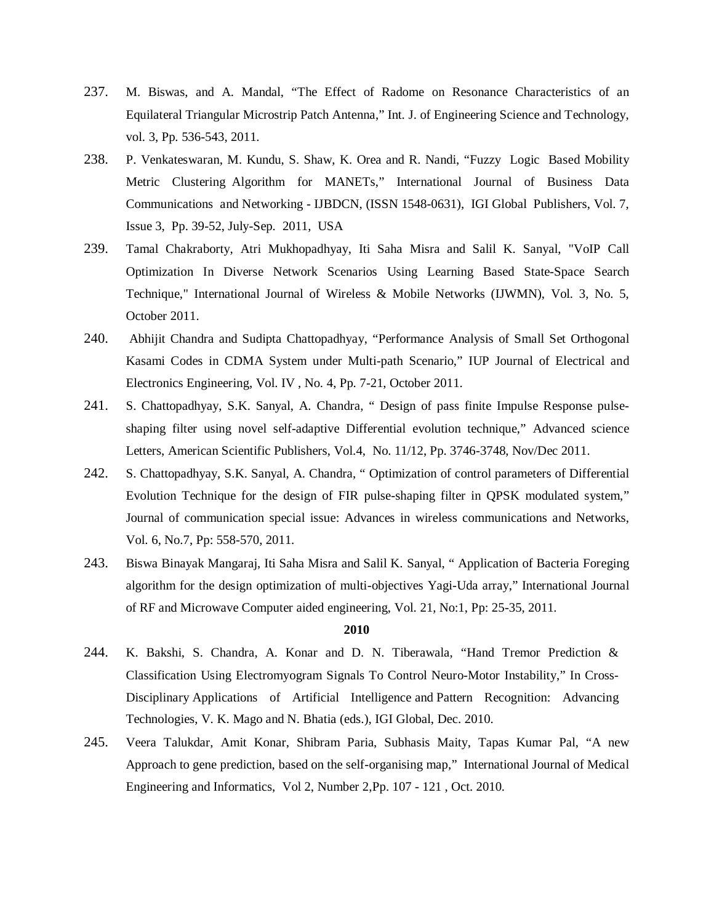- 237. M. Biswas, and A. Mandal, "The Effect of Radome on Resonance Characteristics of an Equilateral Triangular Microstrip Patch Antenna," Int. J. of Engineering Science and Technology, vol. 3, Pp. 536-543, 2011.
- 238. P. Venkateswaran, M. Kundu, S. Shaw, K. Orea and R. Nandi, "Fuzzy Logic Based Mobility Metric Clustering Algorithm for MANETs," International Journal of Business Data Communications and Networking - IJBDCN, (ISSN 1548-0631), IGI Global Publishers, Vol. 7, Issue 3, Pp. 39-52, July-Sep. 2011, USA
- 239. Tamal Chakraborty, Atri Mukhopadhyay, Iti Saha Misra and Salil K. Sanyal, "VoIP Call Optimization In Diverse Network Scenarios Using Learning Based State-Space Search Technique," International Journal of Wireless & Mobile Networks (IJWMN), Vol. 3, No. 5, October 2011.
- 240. Abhijit Chandra and Sudipta Chattopadhyay, "Performance Analysis of Small Set Orthogonal Kasami Codes in CDMA System under Multi-path Scenario," IUP Journal of Electrical and Electronics Engineering, Vol. IV , No. 4, Pp. 7-21, October 2011.
- 241. S. Chattopadhyay, S.K. Sanyal, A. Chandra, " Design of pass finite Impulse Response pulseshaping filter using novel self-adaptive Differential evolution technique," Advanced science Letters, American Scientific Publishers, Vol.4, No. 11/12, Pp. 3746-3748, Nov/Dec 2011.
- 242. S. Chattopadhyay, S.K. Sanyal, A. Chandra, " Optimization of control parameters of Differential Evolution Technique for the design of FIR pulse-shaping filter in QPSK modulated system," Journal of communication special issue: Advances in wireless communications and Networks, Vol. 6, No.7, Pp: 558-570, 2011.
- 243. Biswa Binayak Mangaraj, Iti Saha Misra and Salil K. Sanyal, " Application of Bacteria Foreging algorithm for the design optimization of multi-objectives Yagi-Uda array," International Journal of RF and Microwave Computer aided engineering, Vol. 21, No:1, Pp: 25-35, 2011.

- 244. K. Bakshi, S. Chandra, A. Konar and D. N. Tiberawala, "Hand Tremor Prediction & Classification Using Electromyogram Signals To Control Neuro-Motor Instability," In Cross-Disciplinary Applications of Artificial Intelligence and Pattern Recognition: Advancing Technologies, V. K. Mago and N. Bhatia (eds.), IGI Global, Dec. 2010.
- 245. Veera Talukdar, Amit Konar, Shibram Paria, Subhasis Maity, Tapas Kumar Pal, "A new Approach to gene prediction, based on the self-organising map," International Journal of Medical Engineering and Informatics, Vol 2, Number 2,Pp. 107 - 121 , Oct. 2010.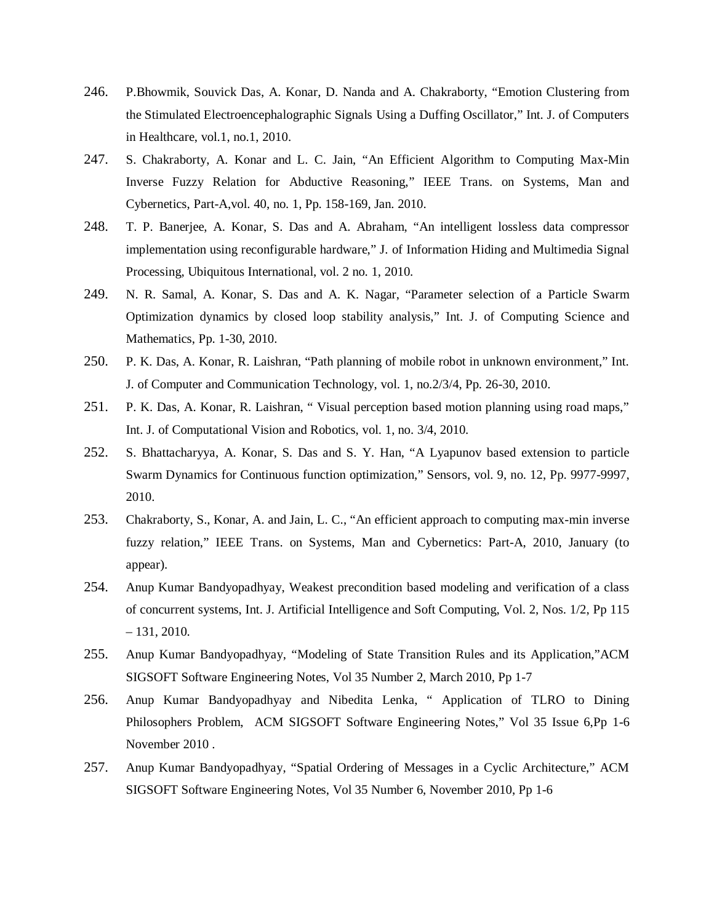- 246. P.Bhowmik, Souvick Das, A. Konar, D. Nanda and A. Chakraborty, "Emotion Clustering from the Stimulated Electroencephalographic Signals Using a Duffing Oscillator," Int. J. of Computers in Healthcare, vol.1, no.1, 2010.
- 247. S. Chakraborty, A. Konar and L. C. Jain, "An Efficient Algorithm to Computing Max-Min Inverse Fuzzy Relation for Abductive Reasoning," IEEE Trans. on Systems, Man and Cybernetics, Part-A,vol. 40, no. 1, Pp. 158-169, Jan. 2010.
- 248. T. P. Banerjee, A. Konar, S. Das and A. Abraham, "An intelligent lossless data compressor implementation using reconfigurable hardware," J. of Information Hiding and Multimedia Signal Processing, Ubiquitous International, vol. 2 no. 1, 2010.
- 249. N. R. Samal, A. Konar, S. Das and A. K. Nagar, "Parameter selection of a Particle Swarm Optimization dynamics by closed loop stability analysis," Int. J. of Computing Science and Mathematics, Pp. 1-30, 2010.
- 250. P. K. Das, A. Konar, R. Laishran, "Path planning of mobile robot in unknown environment," Int. J. of Computer and Communication Technology, vol. 1, no.2/3/4, Pp. 26-30, 2010.
- 251. P. K. Das, A. Konar, R. Laishran, " Visual perception based motion planning using road maps," Int. J. of Computational Vision and Robotics, vol. 1, no. 3/4, 2010.
- 252. S. Bhattacharyya, A. Konar, S. Das and S. Y. Han, "A Lyapunov based extension to particle Swarm Dynamics for Continuous function optimization," Sensors, vol. 9, no. 12, Pp. 9977-9997, 2010.
- 253. Chakraborty, S., Konar, A. and Jain, L. C., "An efficient approach to computing max-min inverse fuzzy relation," IEEE Trans. on Systems, Man and Cybernetics: Part-A, 2010, January (to appear).
- 254. Anup Kumar Bandyopadhyay, Weakest precondition based modeling and verification of a class of concurrent systems, Int. J. Artificial Intelligence and Soft Computing, Vol. 2, Nos. 1/2, Pp 115  $-131, 2010.$
- 255. Anup Kumar Bandyopadhyay, "Modeling of State Transition Rules and its Application,"ACM SIGSOFT Software Engineering Notes, Vol 35 Number 2, March 2010, Pp 1-7
- 256. Anup Kumar Bandyopadhyay and Nibedita Lenka, " Application of TLRO to Dining Philosophers Problem, ACM SIGSOFT Software Engineering Notes," Vol 35 Issue 6,Pp 1-6 November 2010 .
- 257. Anup Kumar Bandyopadhyay, "Spatial Ordering of Messages in a Cyclic Architecture," ACM SIGSOFT Software Engineering Notes, Vol 35 Number 6, November 2010, Pp 1-6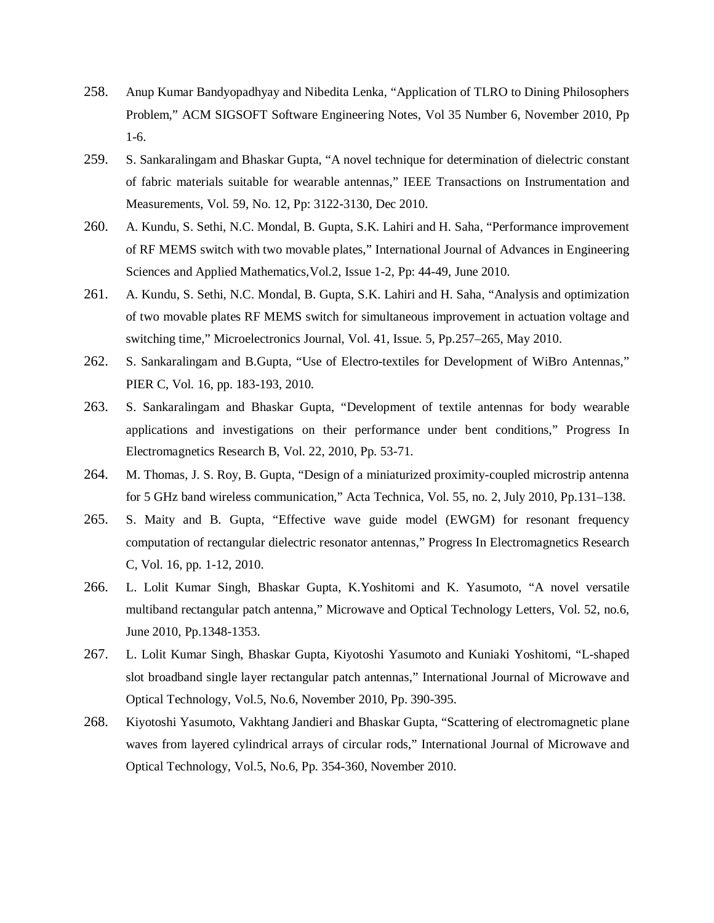- 258. Anup Kumar Bandyopadhyay and Nibedita Lenka, "Application of TLRO to Dining Philosophers Problem," ACM SIGSOFT Software Engineering Notes, Vol 35 Number 6, November 2010, Pp 1-6.
- 259. S. Sankaralingam and Bhaskar Gupta, "A novel technique for determination of dielectric constant of fabric materials suitable for wearable antennas," IEEE Transactions on Instrumentation and Measurements, Vol. 59, No. 12, Pp: 3122-3130, Dec 2010.
- 260. A. Kundu, S. Sethi, N.C. Mondal, B. Gupta, S.K. Lahiri and H. Saha, "Performance improvement of RF MEMS switch with two movable plates," International Journal of Advances in Engineering Sciences and Applied Mathematics,Vol.2, Issue 1-2, Pp: 44-49, June 2010.
- 261. A. Kundu, S. Sethi, N.C. Mondal, B. Gupta, S.K. Lahiri and H. Saha, "Analysis and optimization of two movable plates RF MEMS switch for simultaneous improvement in actuation voltage and switching time," Microelectronics Journal, Vol. 41, Issue. 5, Pp.257–265, May 2010.
- 262. S. Sankaralingam and B.Gupta, "Use of Electro-textiles for Development of WiBro Antennas," PIER C, Vol. 16, pp. 183-193, 2010.
- 263. S. Sankaralingam and Bhaskar Gupta, "Development of textile antennas for body wearable applications and investigations on their performance under bent conditions," Progress In Electromagnetics Research B, Vol. 22, 2010, Pp. 53-71.
- 264. M. Thomas, J. S. Roy, B. Gupta, "Design of a miniaturized proximity-coupled microstrip antenna for 5 GHz band wireless communication," Acta Technica, Vol. 55, no. 2, July 2010, Pp.131–138.
- 265. S. Maity and B. Gupta, "Effective wave guide model (EWGM) for resonant frequency computation of rectangular dielectric resonator antennas," Progress In Electromagnetics Research C, Vol. 16, pp. 1-12, 2010.
- 266. L. Lolit Kumar Singh, Bhaskar Gupta, K.Yoshitomi and K. Yasumoto, "A novel versatile multiband rectangular patch antenna," Microwave and Optical Technology Letters, Vol. 52, no.6, June 2010, Pp.1348-1353.
- 267. L. Lolit Kumar Singh, Bhaskar Gupta, Kiyotoshi Yasumoto and Kuniaki Yoshitomi, "L-shaped slot broadband single layer rectangular patch antennas," International Journal of Microwave and Optical Technology, Vol.5, No.6, November 2010, Pp. 390-395.
- 268. Kiyotoshi Yasumoto, Vakhtang Jandieri and Bhaskar Gupta, "Scattering of electromagnetic plane waves from layered cylindrical arrays of circular rods," International Journal of Microwave and Optical Technology, Vol.5, No.6, Pp. 354-360, November 2010.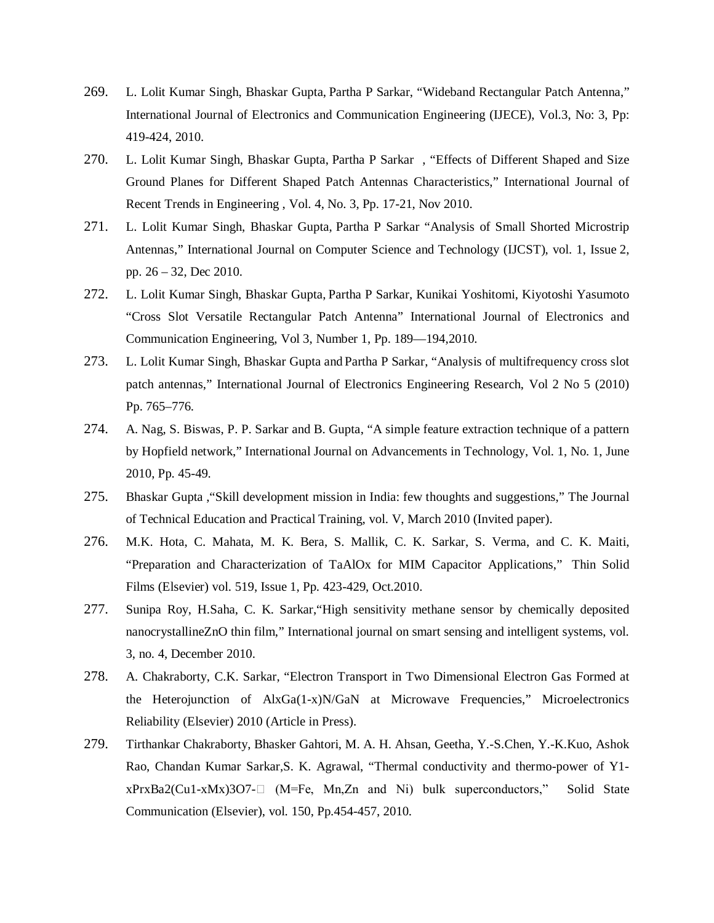- 269. L. Lolit Kumar Singh, Bhaskar Gupta, Partha P Sarkar, "Wideband Rectangular Patch Antenna," International Journal of Electronics and Communication Engineering (IJECE), Vol.3, No: 3, Pp: 419-424, 2010.
- 270. L. Lolit Kumar Singh, Bhaskar Gupta, Partha P Sarkar , "Effects of Different Shaped and Size Ground Planes for Different Shaped Patch Antennas Characteristics," International Journal of Recent Trends in Engineering , Vol. 4, No. 3, Pp. 17-21, Nov 2010.
- 271. L. Lolit Kumar Singh, Bhaskar Gupta, Partha P Sarkar "Analysis of Small Shorted Microstrip Antennas," International Journal on Computer Science and Technology (IJCST), vol. 1, Issue 2, pp. 26 – 32, Dec 2010.
- 272. L. Lolit Kumar Singh, Bhaskar Gupta, Partha P Sarkar, Kunikai Yoshitomi, Kiyotoshi Yasumoto "Cross Slot Versatile Rectangular Patch Antenna" International Journal of Electronics and Communication Engineering, Vol 3, Number 1, Pp. 189—194,2010.
- 273. L. Lolit Kumar Singh, Bhaskar Gupta and Partha P Sarkar, "Analysis of multifrequency cross slot patch antennas," International Journal of Electronics Engineering Research, Vol 2 No 5 (2010) Pp. 765–776.
- 274. A. Nag, S. Biswas, P. P. Sarkar and B. Gupta, "A simple feature extraction technique of a pattern by Hopfield network," International Journal on Advancements in Technology, Vol. 1, No. 1, June 2010, Pp. 45-49.
- 275. Bhaskar Gupta ,"Skill development mission in India: few thoughts and suggestions," The Journal of Technical Education and Practical Training, vol. V, March 2010 (Invited paper).
- 276. M.K. Hota, C. Mahata, M. K. Bera, S. Mallik, C. K. Sarkar, S. Verma, and C. K. Maiti, "Preparation and Characterization of TaAlOx for MIM Capacitor Applications," Thin Solid Films (Elsevier) vol. 519, Issue 1, Pp. 423-429, Oct.2010.
- 277. Sunipa Roy, H.Saha, C. K. Sarkar,"High sensitivity methane sensor by chemically deposited nanocrystallineZnO thin film," International journal on smart sensing and intelligent systems, vol. 3, no. 4, December 2010.
- 278. A. Chakraborty, C.K. Sarkar, "Electron Transport in Two Dimensional Electron Gas Formed at the Heterojunction of AlxGa(1-x)N/GaN at Microwave Frequencies," Microelectronics Reliability (Elsevier) 2010 (Article in Press).
- 279. Tirthankar Chakraborty, Bhasker Gahtori, M. A. H. Ahsan, Geetha, Y.-S.Chen, Y.-K.Kuo, Ashok Rao, Chandan Kumar Sarkar,S. K. Agrawal, "Thermal conductivity and thermo-power of Y1  $xPrxBa2(Cu1-xMx)3O7$ - (M=Fe, Mn,Zn and Ni) bulk superconductors," Solid State Communication (Elsevier), vol. 150, Pp.454-457, 2010.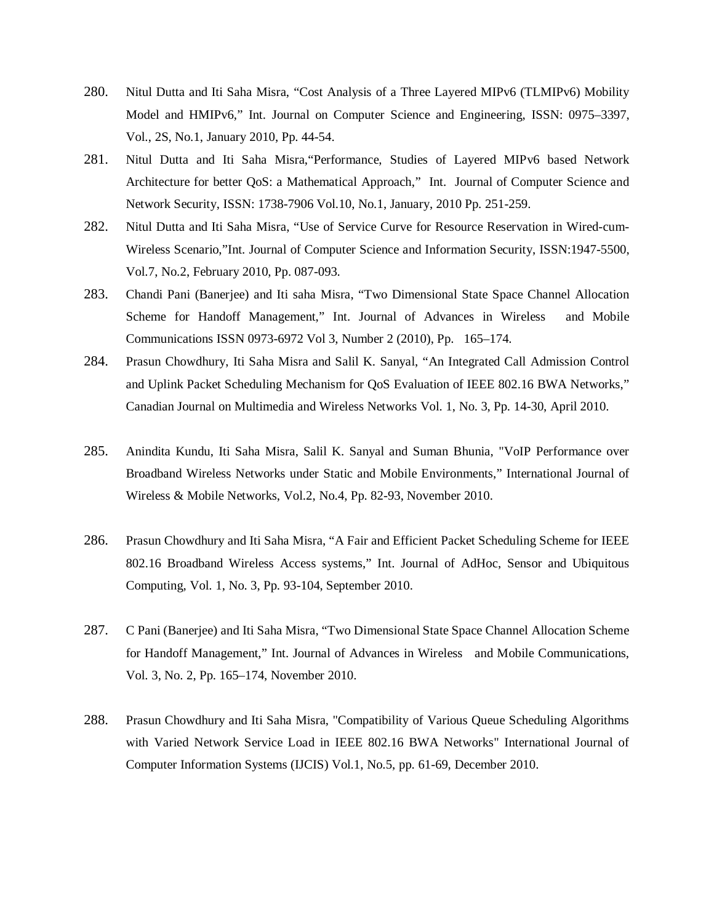- 280. Nitul Dutta and Iti Saha Misra, "Cost Analysis of a Three Layered MIPv6 (TLMIPv6) Mobility Model and HMIPv6," Int. Journal on Computer Science and Engineering, ISSN: 0975–3397, Vol., 2S, No.1, January 2010, Pp. 44-54.
- 281. Nitul Dutta and Iti Saha Misra,"Performance, Studies of Layered MIPv6 based Network Architecture for better QoS: a Mathematical Approach," Int. Journal of Computer Science and Network Security, ISSN: 1738-7906 Vol.10, No.1, January, 2010 Pp. 251-259.
- 282. Nitul Dutta and Iti Saha Misra, "Use of Service Curve for Resource Reservation in Wired-cum-Wireless Scenario,"Int. Journal of Computer Science and Information Security, ISSN:1947-5500, Vol.7, No.2, February 2010, Pp. 087-093.
- 283. Chandi Pani (Banerjee) and Iti saha Misra, "Two Dimensional State Space Channel Allocation Scheme for Handoff Management," Int. Journal of Advances in Wireless and Mobile Communications ISSN 0973-6972 Vol 3, Number 2 (2010), Pp. 165–174.
- 284. Prasun Chowdhury, Iti Saha Misra and Salil K. Sanyal, "An Integrated Call Admission Control and Uplink Packet Scheduling Mechanism for QoS Evaluation of IEEE 802.16 BWA Networks," Canadian Journal on Multimedia and Wireless Networks Vol. 1, No. 3, Pp. 14-30, April 2010.
- 285. Anindita Kundu, Iti Saha Misra, Salil K. Sanyal and Suman Bhunia, "VoIP Performance over Broadband Wireless Networks under Static and Mobile Environments," International Journal of Wireless & Mobile Networks, Vol.2, No.4, Pp. 82-93, November 2010.
- 286. Prasun Chowdhury and Iti Saha Misra, "A Fair and Efficient Packet Scheduling Scheme for IEEE 802.16 Broadband Wireless Access systems," Int. Journal of AdHoc, Sensor and Ubiquitous Computing, Vol. 1, No. 3, Pp. 93-104, September 2010.
- 287. C Pani (Banerjee) and Iti Saha Misra, "Two Dimensional State Space Channel Allocation Scheme for Handoff Management," Int. Journal of Advances in Wireless and Mobile Communications, Vol. 3, No. 2, Pp. 165–174, November 2010.
- 288. Prasun Chowdhury and Iti Saha Misra, "Compatibility of Various Queue Scheduling Algorithms with Varied Network Service Load in IEEE 802.16 BWA Networks" International Journal of Computer Information Systems (IJCIS) Vol.1, No.5, pp. 61-69, December 2010.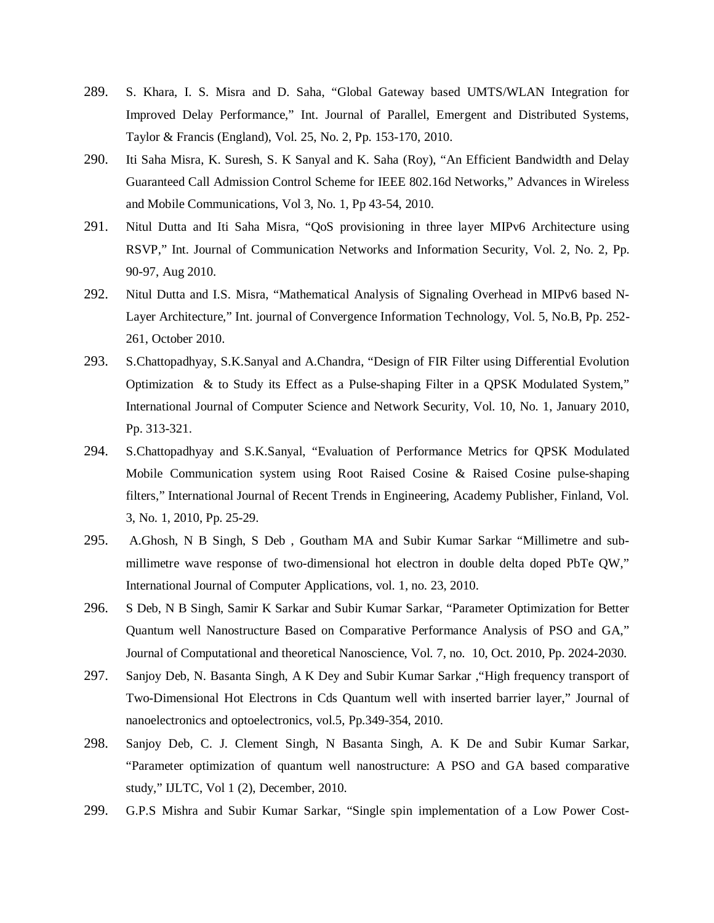- 289. S. Khara, I. S. Misra and D. Saha, "Global Gateway based UMTS/WLAN Integration for Improved Delay Performance," Int. Journal of Parallel, Emergent and Distributed Systems, Taylor & Francis (England), Vol. 25, No. 2, Pp. 153-170, 2010.
- 290. Iti Saha Misra, K. Suresh, S. K Sanyal and K. Saha (Roy), "An Efficient Bandwidth and Delay Guaranteed Call Admission Control Scheme for IEEE 802.16d Networks," Advances in Wireless and Mobile Communications, Vol 3, No. 1, Pp 43-54, 2010.
- 291. Nitul Dutta and Iti Saha Misra, "QoS provisioning in three layer MIPv6 Architecture using RSVP," Int. Journal of Communication Networks and Information Security, Vol. 2, No. 2, Pp. 90-97, Aug 2010.
- 292. Nitul Dutta and I.S. Misra, "Mathematical Analysis of Signaling Overhead in MIPv6 based N-Layer Architecture," Int. journal of Convergence Information Technology, Vol. 5, No.B, Pp. 252- 261, October 2010.
- 293. S.Chattopadhyay, S.K.Sanyal and A.Chandra, "Design of FIR Filter using Differential Evolution Optimization & to Study its Effect as a Pulse-shaping Filter in a QPSK Modulated System," International Journal of Computer Science and Network Security, Vol. 10, No. 1, January 2010, Pp. 313-321.
- 294. S.Chattopadhyay and S.K.Sanyal, "Evaluation of Performance Metrics for QPSK Modulated Mobile Communication system using Root Raised Cosine & Raised Cosine pulse-shaping filters," International Journal of Recent Trends in Engineering, Academy Publisher, Finland, Vol. 3, No. 1, 2010, Pp. 25-29.
- 295. A.Ghosh, N B Singh, S Deb , Goutham MA and Subir Kumar Sarkar "Millimetre and submillimetre wave response of two-dimensional hot electron in double delta doped PbTe QW," International Journal of Computer Applications, vol. 1, no. 23, 2010.
- 296. S Deb, N B Singh, Samir K Sarkar and Subir Kumar Sarkar, "Parameter Optimization for Better Quantum well Nanostructure Based on Comparative Performance Analysis of PSO and GA," Journal of Computational and theoretical Nanoscience, Vol. 7, no. 10, Oct. 2010, Pp. 2024-2030.
- 297. Sanjoy Deb, N. Basanta Singh, A K Dey and Subir Kumar Sarkar ,"High frequency transport of Two-Dimensional Hot Electrons in Cds Quantum well with inserted barrier layer," Journal of nanoelectronics and optoelectronics, vol.5, Pp.349-354, 2010.
- 298. Sanjoy Deb, C. J. Clement Singh, N Basanta Singh, A. K De and Subir Kumar Sarkar, "Parameter optimization of quantum well nanostructure: A PSO and GA based comparative study," IJLTC, Vol 1 (2), December, 2010.
- 299. G.P.S Mishra and Subir Kumar Sarkar, "Single spin implementation of a Low Power Cost-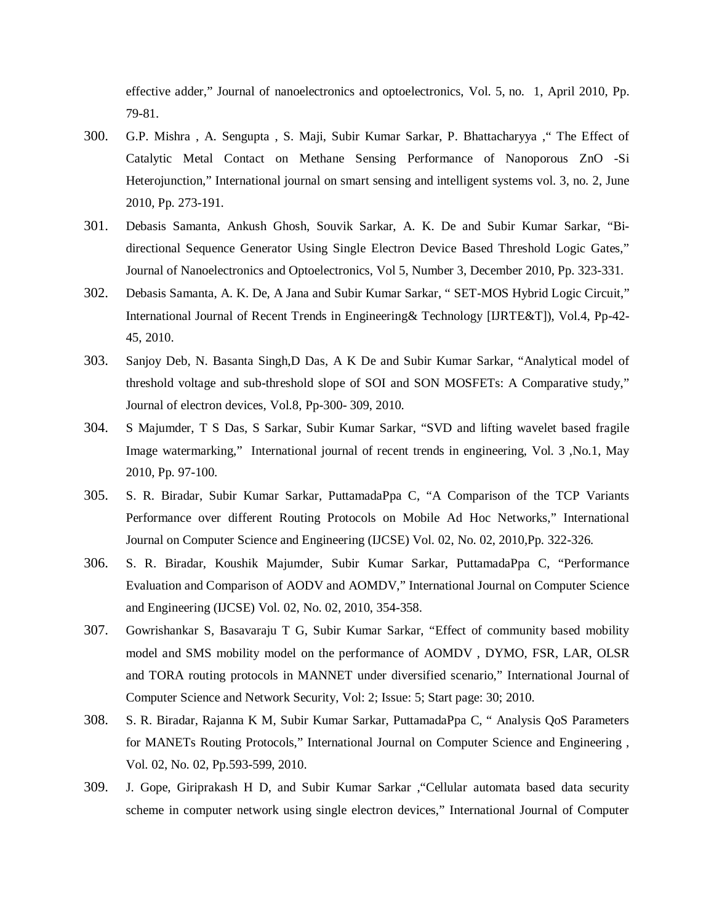effective adder," Journal of nanoelectronics and optoelectronics, Vol. 5, no. 1, April 2010, Pp. 79-81.

- 300. G.P. Mishra , A. Sengupta , S. Maji, Subir Kumar Sarkar, P. Bhattacharyya ," The Effect of Catalytic Metal Contact on Methane Sensing Performance of Nanoporous ZnO -Si Heterojunction," International journal on smart sensing and intelligent systems vol. 3, no. 2, June 2010, Pp. 273-191.
- 301. Debasis Samanta, Ankush Ghosh, Souvik Sarkar, A. K. De and Subir Kumar Sarkar, "Bidirectional Sequence Generator Using Single Electron Device Based Threshold Logic Gates," Journal of Nanoelectronics and Optoelectronics, Vol 5, Number 3, December 2010, Pp. 323-331.
- 302. Debasis Samanta, A. K. De, A Jana and Subir Kumar Sarkar, " SET-MOS Hybrid Logic Circuit," International Journal of Recent Trends in Engineering& Technology [IJRTE&T]), Vol.4, Pp-42- 45, 2010.
- 303. Sanjoy Deb, N. Basanta Singh,D Das, A K De and Subir Kumar Sarkar, "Analytical model of threshold voltage and sub-threshold slope of SOI and SON MOSFETs: A Comparative study," Journal of electron devices, Vol.8, Pp-300- 309, 2010.
- 304. S Majumder, T S Das, S Sarkar, Subir Kumar Sarkar, "SVD and lifting wavelet based fragile Image watermarking," International journal of recent trends in engineering, Vol. 3 ,No.1, May 2010, Pp. 97-100.
- 305. S. R. Biradar, Subir Kumar Sarkar, PuttamadaPpa C, "A Comparison of the TCP Variants Performance over different Routing Protocols on Mobile Ad Hoc Networks," International Journal on Computer Science and Engineering (IJCSE) Vol. 02, No. 02, 2010,Pp. 322-326.
- 306. S. R. Biradar, Koushik Majumder, Subir Kumar Sarkar, PuttamadaPpa C, "Performance Evaluation and Comparison of AODV and AOMDV," International Journal on Computer Science and Engineering (IJCSE) Vol. 02, No. 02, 2010, 354-358.
- 307. Gowrishankar S, Basavaraju T G, Subir Kumar Sarkar, "Effect of community based mobility model and SMS mobility model on the performance of AOMDV , DYMO, FSR, LAR, OLSR and TORA routing protocols in MANNET under diversified scenario," International Journal of Computer Science and Network Security, Vol: 2; Issue: 5; Start page: 30; 2010.
- 308. S. R. Biradar, Rajanna K M, Subir Kumar Sarkar, PuttamadaPpa C, " Analysis QoS Parameters for MANETs Routing Protocols," International Journal on Computer Science and Engineering , Vol. 02, No. 02, Pp.593-599, 2010.
- 309. J. Gope, Giriprakash H D, and Subir Kumar Sarkar ,"Cellular automata based data security scheme in computer network using single electron devices," International Journal of Computer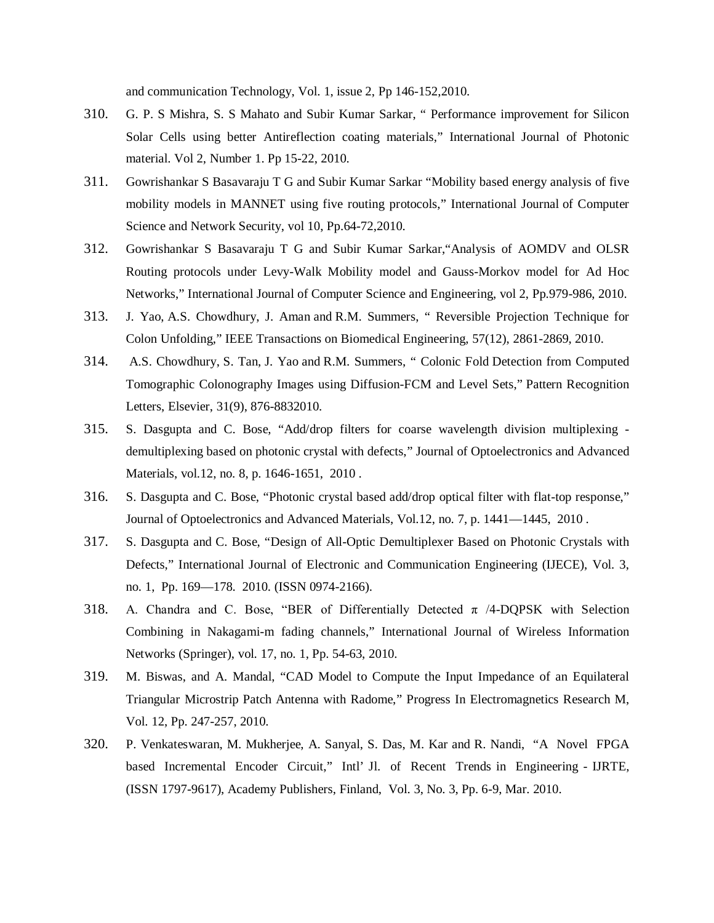and communication Technology, Vol. 1, issue 2, Pp 146-152,2010.

- 310. G. P. S Mishra, S. S Mahato and Subir Kumar Sarkar, " Performance improvement for Silicon Solar Cells using better Antireflection coating materials," International Journal of Photonic material. Vol 2, Number 1. Pp 15-22, 2010.
- 311. Gowrishankar S Basavaraju T G and Subir Kumar Sarkar "Mobility based energy analysis of five mobility models in MANNET using five routing protocols," International Journal of Computer Science and Network Security, vol 10, Pp.64-72,2010.
- 312. Gowrishankar S Basavaraju T G and Subir Kumar Sarkar,"Analysis of AOMDV and OLSR Routing protocols under Levy-Walk Mobility model and Gauss-Morkov model for Ad Hoc Networks," International Journal of Computer Science and Engineering, vol 2, Pp.979-986, 2010.
- 313. J. Yao, A.S. Chowdhury, J. Aman and R.M. Summers, " Reversible Projection Technique for Colon Unfolding," IEEE Transactions on Biomedical Engineering, 57(12), 2861-2869, 2010.
- 314. A.S. Chowdhury, S. Tan, J. Yao and R.M. Summers, " Colonic Fold Detection from Computed Tomographic Colonography Images using Diffusion-FCM and Level Sets," Pattern Recognition Letters, Elsevier, 31(9), 876-8832010.
- 315. S. Dasgupta and C. Bose, "Add/drop filters for coarse wavelength division multiplexing demultiplexing based on photonic crystal with defects," Journal of Optoelectronics and Advanced Materials, vol.12, no. 8, p. 1646-1651, 2010 .
- 316. S. Dasgupta and C. Bose, "Photonic crystal based add/drop optical filter with flat-top response," Journal of Optoelectronics and Advanced Materials, Vol.12, no. 7, p. 1441—1445, 2010 .
- 317. S. Dasgupta and C. Bose, "Design of All-Optic Demultiplexer Based on Photonic Crystals with Defects," International Journal of Electronic and Communication Engineering (IJECE), Vol. 3, no. 1, Pp. 169—178. 2010. (ISSN 0974-2166).
- 318. A. Chandra and C. Bose, "BER of Differentially Detected  $\pi$  /4-DQPSK with Selection Combining in Nakagami-m fading channels," International Journal of Wireless Information Networks (Springer), vol. 17, no. 1, Pp. 54-63, 2010.
- 319. M. Biswas, and A. Mandal, "CAD Model to Compute the Input Impedance of an Equilateral Triangular Microstrip Patch Antenna with Radome," Progress In Electromagnetics Research M, Vol. 12, Pp. 247-257, 2010.
- 320. P. Venkateswaran, M. Mukherjee, A. Sanyal, S. Das, M. Kar and R. Nandi, "A Novel FPGA based Incremental Encoder Circuit," Intl' Jl. of Recent Trends in Engineering - IJRTE, (ISSN 1797-9617), Academy Publishers, Finland, Vol. 3, No. 3, Pp. 6-9, Mar. 2010.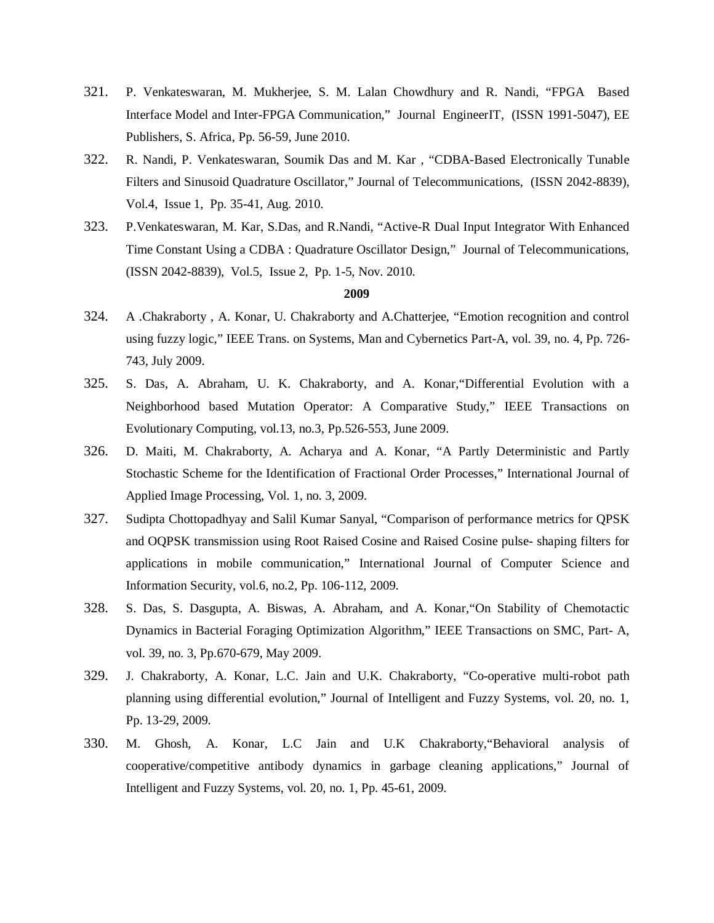- 321. P. Venkateswaran, M. Mukherjee, S. M. Lalan Chowdhury and R. Nandi, "FPGA Based Interface Model and Inter-FPGA Communication," Journal EngineerIT, (ISSN 1991-5047), EE Publishers, S. Africa, Pp. 56-59, June 2010.
- 322. R. Nandi, P. Venkateswaran, Soumik Das and M. Kar , "CDBA-Based Electronically Tunable Filters and Sinusoid Quadrature Oscillator," Journal of Telecommunications, (ISSN 2042-8839), Vol.4, Issue 1, Pp. 35-41, Aug. 2010.
- 323. P.Venkateswaran, M. Kar, S.Das, and R.Nandi, "Active-R Dual Input Integrator With Enhanced Time Constant Using a CDBA : Quadrature Oscillator Design," Journal of Telecommunications, (ISSN 2042-8839), Vol.5, Issue 2, Pp. 1-5, Nov. 2010.

- 324. A .Chakraborty , A. Konar, U. Chakraborty and A.Chatterjee, "Emotion recognition and control using fuzzy logic," IEEE Trans. on Systems, Man and Cybernetics Part-A, vol. 39, no. 4, Pp. 726- 743, July 2009.
- 325. S. Das, A. Abraham, U. K. Chakraborty, and A. Konar,"Differential Evolution with a Neighborhood based Mutation Operator: A Comparative Study," IEEE Transactions on Evolutionary Computing, vol.13, no.3, Pp.526-553, June 2009.
- 326. D. Maiti, M. Chakraborty, A. Acharya and A. Konar, "A Partly Deterministic and Partly Stochastic Scheme for the Identification of Fractional Order Processes," International Journal of Applied Image Processing, Vol. 1, no. 3, 2009.
- 327. Sudipta Chottopadhyay and Salil Kumar Sanyal, "Comparison of performance metrics for QPSK and OQPSK transmission using Root Raised Cosine and Raised Cosine pulse- shaping filters for applications in mobile communication," International Journal of Computer Science and Information Security, vol.6, no.2, Pp. 106-112, 2009.
- 328. S. Das, S. Dasgupta, A. Biswas, A. Abraham, and A. Konar,"On Stability of Chemotactic Dynamics in Bacterial Foraging Optimization Algorithm," IEEE Transactions on SMC, Part- A, vol. 39, no. 3, Pp.670-679, May 2009.
- 329. J. Chakraborty, A. Konar, L.C. Jain and U.K. Chakraborty, "Co-operative multi-robot path planning using differential evolution," Journal of Intelligent and Fuzzy Systems, vol. 20, no. 1, Pp. 13-29, 2009.
- 330. M. Ghosh, A. Konar, L.C Jain and U.K Chakraborty,"Behavioral analysis of cooperative/competitive antibody dynamics in garbage cleaning applications," Journal of Intelligent and Fuzzy Systems, vol. 20, no. 1, Pp. 45-61, 2009.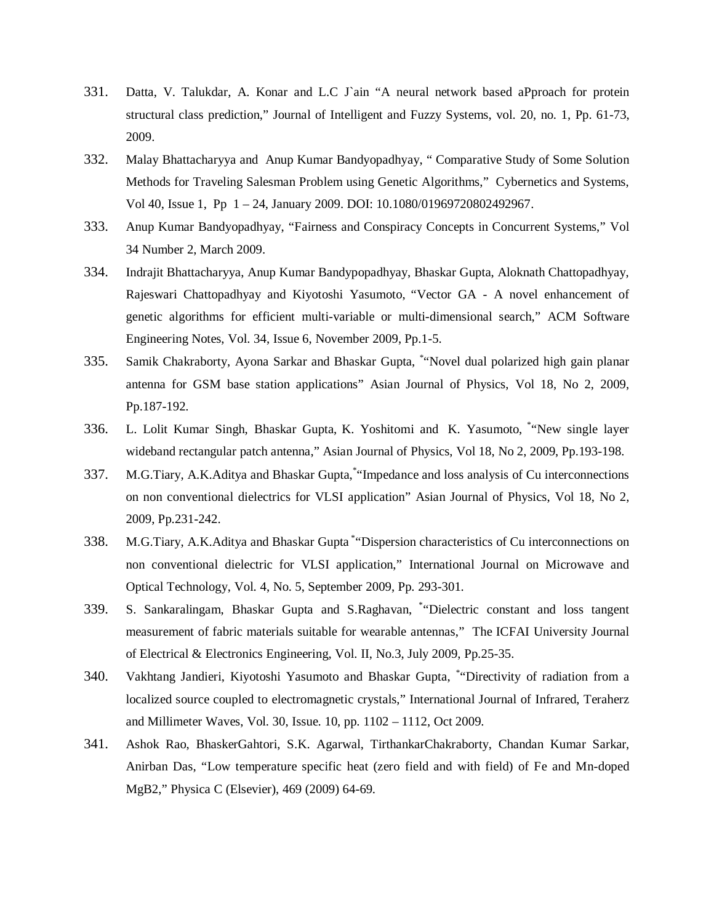- 331. Datta, V. Talukdar, A. Konar and L.C J`ain "A neural network based aPproach for protein structural class prediction," Journal of Intelligent and Fuzzy Systems, vol. 20, no. 1, Pp. 61-73, 2009.
- 332. Malay Bhattacharyya and Anup Kumar Bandyopadhyay, " Comparative Study of Some Solution Methods for Traveling Salesman Problem using Genetic Algorithms," Cybernetics and Systems, Vol 40, Issue 1, Pp 1 – 24, January 2009. DOI: 10.1080/01969720802492967.
- 333. Anup Kumar Bandyopadhyay, "Fairness and Conspiracy Concepts in Concurrent Systems," Vol 34 Number 2, March 2009.
- 334. Indrajit Bhattacharyya, Anup Kumar Bandypopadhyay, Bhaskar Gupta, Aloknath Chattopadhyay, Rajeswari Chattopadhyay and Kiyotoshi Yasumoto, "Vector GA - A novel enhancement of genetic algorithms for efficient multi-variable or multi-dimensional search," ACM Software Engineering Notes, Vol. 34, Issue 6, November 2009, Pp.1-5.
- 335. Samik Chakraborty, Ayona Sarkar and Bhaskar Gupta, \* "Novel dual polarized high gain planar antenna for GSM base station applications" Asian Journal of Physics, Vol 18, No 2, 2009, Pp.187-192.
- 336. L. Lolit Kumar Singh, Bhaskar Gupta, K. Yoshitomi and K. Yasumoto, \* "New single layer wideband rectangular patch antenna," Asian Journal of Physics, Vol 18, No 2, 2009, Pp.193-198.
- 337. M.G.Tiary, A.K.Aditya and Bhaskar Gupta, \* "Impedance and loss analysis of Cu interconnections on non conventional dielectrics for VLSI application" Asian Journal of Physics, Vol 18, No 2, 2009, Pp.231-242.
- 338. M.G.Tiary, A.K.Aditya and Bhaskar Gupta \* "Dispersion characteristics of Cu interconnections on non conventional dielectric for VLSI application," International Journal on Microwave and Optical Technology, Vol. 4, No. 5, September 2009, Pp. 293-301.
- 339. S. Sankaralingam, Bhaskar Gupta and S.Raghavan, \* "Dielectric constant and loss tangent measurement of fabric materials suitable for wearable antennas," The ICFAI University Journal of Electrical & Electronics Engineering, Vol. II, No.3, July 2009, Pp.25-35.
- 340. Vakhtang Jandieri, Kiyotoshi Yasumoto and Bhaskar Gupta, \* "Directivity of radiation from a localized source coupled to electromagnetic crystals," International Journal of Infrared, Teraherz and Millimeter Waves, Vol. 30, Issue. 10, pp. 1102 – 1112, Oct 2009.
- 341. Ashok Rao, BhaskerGahtori, S.K. Agarwal, TirthankarChakraborty, Chandan Kumar Sarkar, Anirban Das, "Low temperature specific heat (zero field and with field) of Fe and Mn-doped MgB2," Physica C (Elsevier), 469 (2009) 64-69.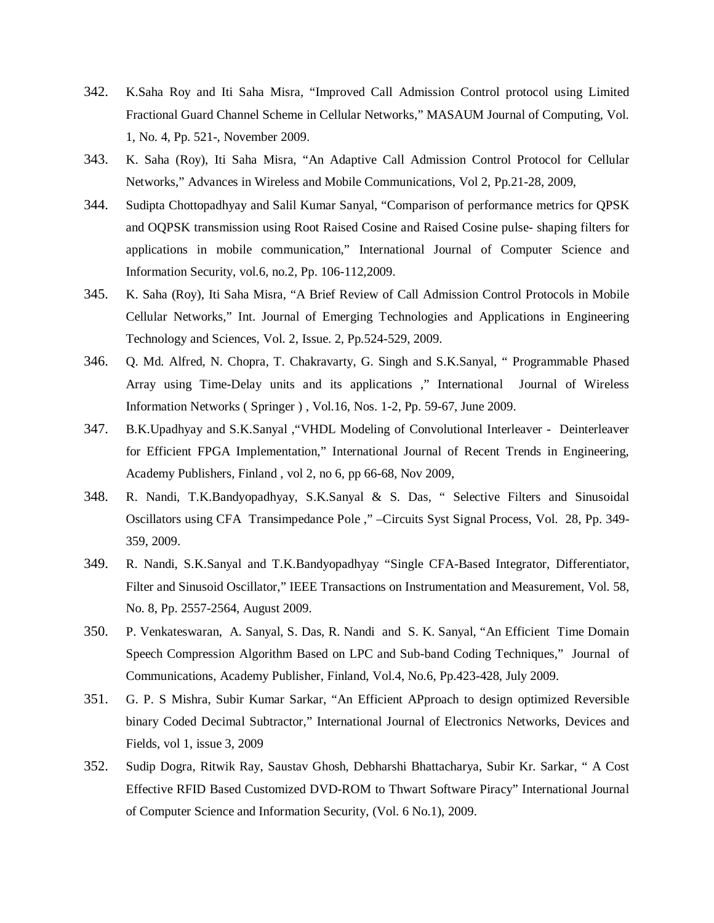- 342. K.Saha Roy and Iti Saha Misra, "Improved Call Admission Control protocol using Limited Fractional Guard Channel Scheme in Cellular Networks," MASAUM Journal of Computing, Vol. 1, No. 4, Pp. 521-, November 2009.
- 343. K. Saha (Roy), Iti Saha Misra, "An Adaptive Call Admission Control Protocol for Cellular Networks," Advances in Wireless and Mobile Communications, Vol 2, Pp.21-28, 2009,
- 344. Sudipta Chottopadhyay and Salil Kumar Sanyal, "Comparison of performance metrics for QPSK and OQPSK transmission using Root Raised Cosine and Raised Cosine pulse- shaping filters for applications in mobile communication," International Journal of Computer Science and Information Security, vol.6, no.2, Pp. 106-112,2009.
- 345. K. Saha (Roy), Iti Saha Misra, "A Brief Review of Call Admission Control Protocols in Mobile Cellular Networks," Int. Journal of Emerging Technologies and Applications in Engineering Technology and Sciences, Vol. 2, Issue. 2, Pp.524-529, 2009.
- 346. Q. Md. Alfred, N. Chopra, T. Chakravarty, G. Singh and S.K.Sanyal, " Programmable Phased Array using Time-Delay units and its applications ," International Journal of Wireless Information Networks ( Springer ) , Vol.16, Nos. 1-2, Pp. 59-67, June 2009.
- 347. B.K.Upadhyay and S.K.Sanyal ,"VHDL Modeling of Convolutional Interleaver Deinterleaver for Efficient FPGA Implementation," International Journal of Recent Trends in Engineering, Academy Publishers, Finland , vol 2, no 6, pp 66-68, Nov 2009,
- 348. R. Nandi, T.K.Bandyopadhyay, S.K.Sanyal & S. Das, " Selective Filters and Sinusoidal Oscillators using CFA Transimpedance Pole ," –Circuits Syst Signal Process, Vol. 28, Pp. 349- 359, 2009.
- 349. R. Nandi, S.K.Sanyal and T.K.Bandyopadhyay "Single CFA-Based Integrator, Differentiator, Filter and Sinusoid Oscillator," IEEE Transactions on Instrumentation and Measurement, Vol. 58, No. 8, Pp. 2557-2564, August 2009.
- 350. P. Venkateswaran, A. Sanyal, S. Das, R. Nandi and S. K. Sanyal, "An Efficient Time Domain Speech Compression Algorithm Based on LPC and Sub-band Coding Techniques," Journal of Communications, Academy Publisher, Finland, Vol.4, No.6, Pp.423-428, July 2009.
- 351. G. P. S Mishra, Subir Kumar Sarkar, "An Efficient APproach to design optimized Reversible binary Coded Decimal Subtractor," International Journal of Electronics Networks, Devices and Fields, vol 1, issue 3, 2009
- 352. Sudip Dogra, Ritwik Ray, Saustav Ghosh, Debharshi Bhattacharya, Subir Kr. Sarkar, " A Cost Effective RFID Based Customized DVD-ROM to Thwart Software Piracy" International Journal of Computer Science and Information Security, (Vol. 6 No.1), 2009.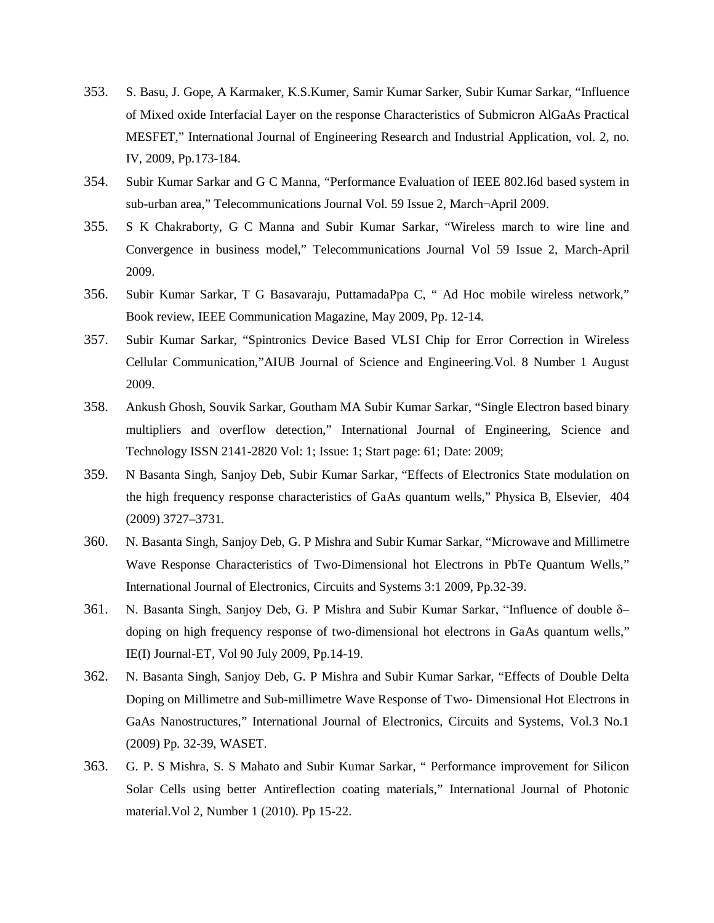- 353. S. Basu, J. Gope, A Karmaker, K.S.Kumer, Samir Kumar Sarker, Subir Kumar Sarkar, "Influence of Mixed oxide Interfacial Layer on the response Characteristics of Submicron AlGaAs Practical MESFET," International Journal of Engineering Research and Industrial Application, vol. 2, no. IV, 2009, Pp.173-184.
- 354. Subir Kumar Sarkar and G C Manna, "Performance Evaluation of IEEE 802.l6d based system in sub-urban area," Telecommunications Journal Vol. 59 Issue 2, March¬April 2009.
- 355. S K Chakraborty, G C Manna and Subir Kumar Sarkar, "Wireless march to wire line and Convergence in business model," Telecommunications Journal Vol 59 Issue 2, March-April 2009.
- 356. Subir Kumar Sarkar, T G Basavaraju, PuttamadaPpa C, " Ad Hoc mobile wireless network," Book review, IEEE Communication Magazine, May 2009, Pp. 12-14.
- 357. Subir Kumar Sarkar, "Spintronics Device Based VLSI Chip for Error Correction in Wireless Cellular Communication,"AIUB Journal of Science and Engineering.Vol. 8 Number 1 August 2009.
- 358. Ankush Ghosh, Souvik Sarkar, Goutham MA Subir Kumar Sarkar, "Single Electron based binary multipliers and overflow detection," International Journal of Engineering, Science and Technology ISSN 2141-2820 Vol: 1; Issue: 1; Start page: 61; Date: 2009;
- 359. N Basanta Singh, Sanjoy Deb, Subir Kumar Sarkar, "Effects of Electronics State modulation on the high frequency response characteristics of GaAs quantum wells," Physica B, Elsevier, 404 (2009) 3727–3731.
- 360. N. Basanta Singh, Sanjoy Deb, G. P Mishra and Subir Kumar Sarkar, "Microwave and Millimetre Wave Response Characteristics of Two-Dimensional hot Electrons in PbTe Quantum Wells," International Journal of Electronics, Circuits and Systems 3:1 2009, Pp.32-39.
- 361. N. Basanta Singh, Sanjoy Deb, G. P Mishra and Subir Kumar Sarkar, "Influence of double δ– doping on high frequency response of two-dimensional hot electrons in GaAs quantum wells," IE(I) Journal-ET, Vol 90 July 2009, Pp.14-19.
- 362. N. Basanta Singh, Sanjoy Deb, G. P Mishra and Subir Kumar Sarkar, "Effects of Double Delta Doping on Millimetre and Sub-millimetre Wave Response of Two- Dimensional Hot Electrons in GaAs Nanostructures," International Journal of Electronics, Circuits and Systems, Vol.3 No.1 (2009) Pp. 32-39, WASET.
- 363. G. P. S Mishra, S. S Mahato and Subir Kumar Sarkar, " Performance improvement for Silicon Solar Cells using better Antireflection coating materials," International Journal of Photonic material.Vol 2, Number 1 (2010). Pp 15-22.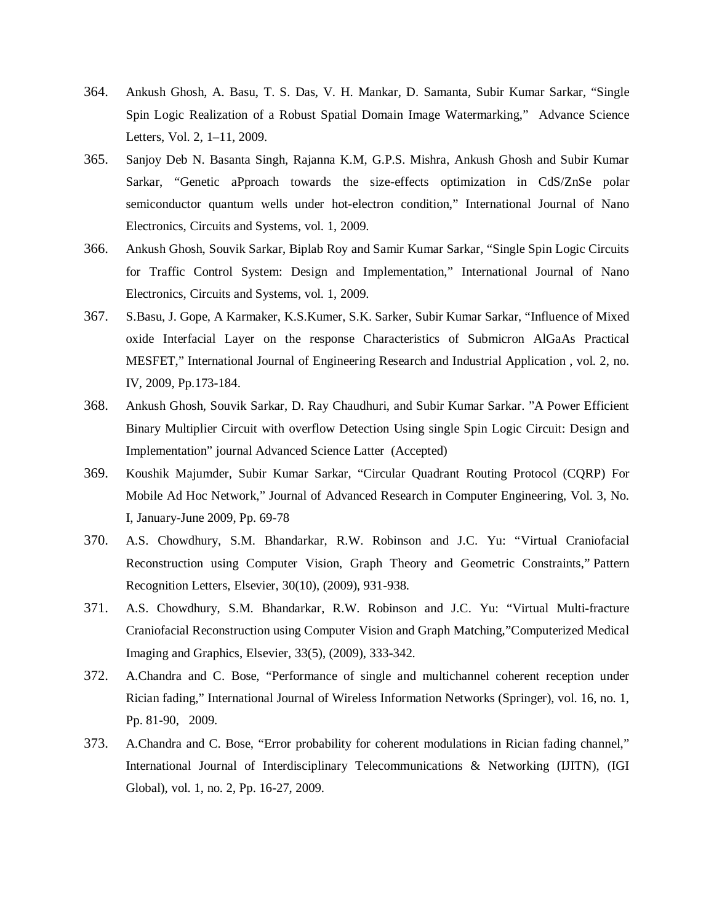- 364. Ankush Ghosh, A. Basu, T. S. Das, V. H. Mankar, D. Samanta, Subir Kumar Sarkar, "Single Spin Logic Realization of a Robust Spatial Domain Image Watermarking," Advance Science Letters, Vol. 2, 1–11, 2009.
- 365. Sanjoy Deb N. Basanta Singh, Rajanna K.M, G.P.S. Mishra, Ankush Ghosh and Subir Kumar Sarkar, "Genetic aPproach towards the size-effects optimization in CdS/ZnSe polar semiconductor quantum wells under hot-electron condition," International Journal of Nano Electronics, Circuits and Systems, vol. 1, 2009.
- 366. Ankush Ghosh, Souvik Sarkar, Biplab Roy and Samir Kumar Sarkar, "Single Spin Logic Circuits for Traffic Control System: Design and Implementation," International Journal of Nano Electronics, Circuits and Systems, vol. 1, 2009.
- 367. S.Basu, J. Gope, A Karmaker, K.S.Kumer, S.K. Sarker, Subir Kumar Sarkar, "Influence of Mixed oxide Interfacial Layer on the response Characteristics of Submicron AlGaAs Practical MESFET," International Journal of Engineering Research and Industrial Application , vol. 2, no. IV, 2009, Pp.173-184.
- 368. Ankush Ghosh, Souvik Sarkar, D. Ray Chaudhuri, and Subir Kumar Sarkar. "A Power Efficient Binary Multiplier Circuit with overflow Detection Using single Spin Logic Circuit: Design and Implementation" journal Advanced Science Latter (Accepted)
- 369. Koushik Majumder, Subir Kumar Sarkar, "Circular Quadrant Routing Protocol (CQRP) For Mobile Ad Hoc Network," Journal of Advanced Research in Computer Engineering, Vol. 3, No. I, January-June 2009, Pp. 69-78
- 370. A.S. Chowdhury, S.M. Bhandarkar, R.W. Robinson and J.C. Yu: "Virtual Craniofacial Reconstruction using Computer Vision, Graph Theory and Geometric Constraints," Pattern Recognition Letters, Elsevier, 30(10), (2009), 931-938.
- 371. A.S. Chowdhury, S.M. Bhandarkar, R.W. Robinson and J.C. Yu: "Virtual Multi-fracture Craniofacial Reconstruction using Computer Vision and Graph Matching,"Computerized Medical Imaging and Graphics, Elsevier, 33(5), (2009), 333-342.
- 372. A.Chandra and C. Bose, "Performance of single and multichannel coherent reception under Rician fading," International Journal of Wireless Information Networks (Springer), vol. 16, no. 1, Pp. 81-90, 2009.
- 373. A.Chandra and C. Bose, "Error probability for coherent modulations in Rician fading channel," International Journal of Interdisciplinary Telecommunications & Networking (IJITN), (IGI Global), vol. 1, no. 2, Pp. 16-27, 2009.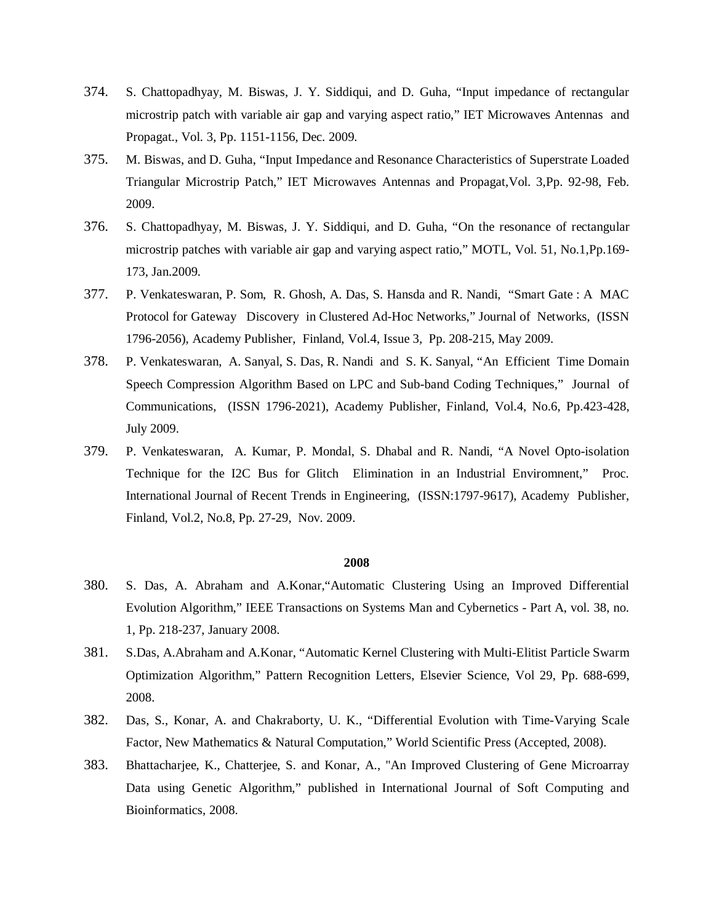- 374. S. Chattopadhyay, M. Biswas, J. Y. Siddiqui, and D. Guha, "Input impedance of rectangular microstrip patch with variable air gap and varying aspect ratio," IET Microwaves Antennas and Propagat., Vol. 3, Pp. 1151-1156, Dec. 2009.
- 375. M. Biswas, and D. Guha, "Input Impedance and Resonance Characteristics of Superstrate Loaded Triangular Microstrip Patch," IET Microwaves Antennas and Propagat,Vol. 3,Pp. 92-98, Feb. 2009.
- 376. S. Chattopadhyay, M. Biswas, J. Y. Siddiqui, and D. Guha, "On the resonance of rectangular microstrip patches with variable air gap and varying aspect ratio," MOTL, Vol. 51, No.1,Pp.169- 173, Jan.2009.
- 377. P. Venkateswaran, P. Som, R. Ghosh, A. Das, S. Hansda and R. Nandi, "Smart Gate : A MAC Protocol for Gateway Discovery in Clustered Ad-Hoc Networks," Journal of Networks, (ISSN 1796-2056), Academy Publisher, Finland, Vol.4, Issue 3, Pp. 208-215, May 2009.
- 378. P. Venkateswaran, A. Sanyal, S. Das, R. Nandi and S. K. Sanyal, "An Efficient Time Domain Speech Compression Algorithm Based on LPC and Sub-band Coding Techniques," Journal of Communications, (ISSN 1796-2021), Academy Publisher, Finland, Vol.4, No.6, Pp.423-428, July 2009.
- 379. P. Venkateswaran, A. Kumar, P. Mondal, S. Dhabal and R. Nandi, "A Novel Opto-isolation Technique for the I2C Bus for Glitch Elimination in an Industrial Enviromnent," Proc. International Journal of Recent Trends in Engineering, (ISSN:1797-9617), Academy Publisher, Finland, Vol.2, No.8, Pp. 27-29, Nov. 2009.

- 380. S. Das, A. Abraham and A.Konar,"Automatic Clustering Using an Improved Differential Evolution Algorithm," IEEE Transactions on Systems Man and Cybernetics - Part A, vol. 38, no. 1, Pp. 218-237, January 2008.
- 381. S.Das, A.Abraham and A.Konar, "Automatic Kernel Clustering with Multi-Elitist Particle Swarm Optimization Algorithm," Pattern Recognition Letters, Elsevier Science, Vol 29, Pp. 688-699, 2008.
- 382. Das, S., Konar, A. and Chakraborty, U. K., "Differential Evolution with Time-Varying Scale Factor, New Mathematics & Natural Computation," World Scientific Press (Accepted, 2008).
- 383. Bhattacharjee, K., Chatterjee, S. and Konar, A., "An Improved Clustering of Gene Microarray Data using Genetic Algorithm," published in International Journal of Soft Computing and Bioinformatics, 2008.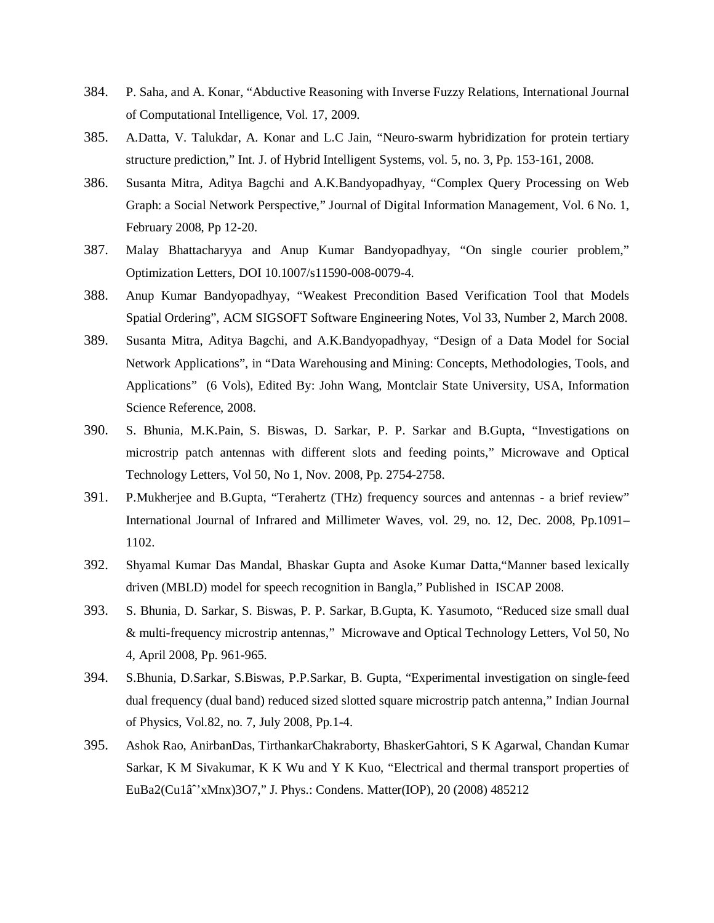- 384. P. Saha, and A. Konar, "Abductive Reasoning with Inverse Fuzzy Relations, International Journal of Computational Intelligence, Vol. 17, 2009.
- 385. A.Datta, V. Talukdar, A. Konar and L.C Jain, "Neuro-swarm hybridization for protein tertiary structure prediction," Int. J. of Hybrid Intelligent Systems, vol. 5, no. 3, Pp. 153-161, 2008.
- 386. Susanta Mitra, Aditya Bagchi and A.K.Bandyopadhyay, "Complex Query Processing on Web Graph: a Social Network Perspective," Journal of Digital Information Management, Vol. 6 No. 1, February 2008, Pp 12-20.
- 387. Malay Bhattacharyya and Anup Kumar Bandyopadhyay, "On single courier problem," Optimization Letters, DOI 10.1007/s11590-008-0079-4.
- 388. Anup Kumar Bandyopadhyay, "Weakest Precondition Based Verification Tool that Models Spatial Ordering", ACM SIGSOFT Software Engineering Notes, Vol 33, Number 2, March 2008.
- 389. Susanta Mitra, Aditya Bagchi, and A.K.Bandyopadhyay, "Design of a Data Model for Social Network Applications", in "Data Warehousing and Mining: Concepts, Methodologies, Tools, and Applications" (6 Vols), Edited By: John Wang, Montclair State University, USA, Information Science Reference, 2008.
- 390. S. Bhunia, M.K.Pain, S. Biswas, D. Sarkar, P. P. Sarkar and B.Gupta, "Investigations on microstrip patch antennas with different slots and feeding points," Microwave and Optical Technology Letters, Vol 50, No 1, Nov. 2008, Pp. 2754-2758.
- 391. P.Mukherjee and B.Gupta, "Terahertz (THz) frequency sources and antennas a brief review" International Journal of Infrared and Millimeter Waves, vol. 29, no. 12, Dec. 2008, Pp.1091– 1102.
- 392. Shyamal Kumar Das Mandal, Bhaskar Gupta and Asoke Kumar Datta,"Manner based lexically driven (MBLD) model for speech recognition in Bangla," Published in ISCAP 2008.
- 393. S. Bhunia, D. Sarkar, S. Biswas, P. P. Sarkar, B.Gupta, K. Yasumoto, "Reduced size small dual & multi-frequency microstrip antennas," Microwave and Optical Technology Letters, Vol 50, No 4, April 2008, Pp. 961-965.
- 394. S.Bhunia, D.Sarkar, S.Biswas, P.P.Sarkar, B. Gupta, "Experimental investigation on single-feed dual frequency (dual band) reduced sized slotted square microstrip patch antenna," Indian Journal of Physics, Vol.82, no. 7, July 2008, Pp.1-4.
- 395. Ashok Rao, AnirbanDas, TirthankarChakraborty, BhaskerGahtori, S K Agarwal, Chandan Kumar Sarkar, K M Sivakumar, K K Wu and Y K Kuo, "Electrical and thermal transport properties of EuBa2(Cu1â<sup>2</sup>xMnx)3O7," J. Phys.: Condens. Matter(IOP), 20 (2008) 485212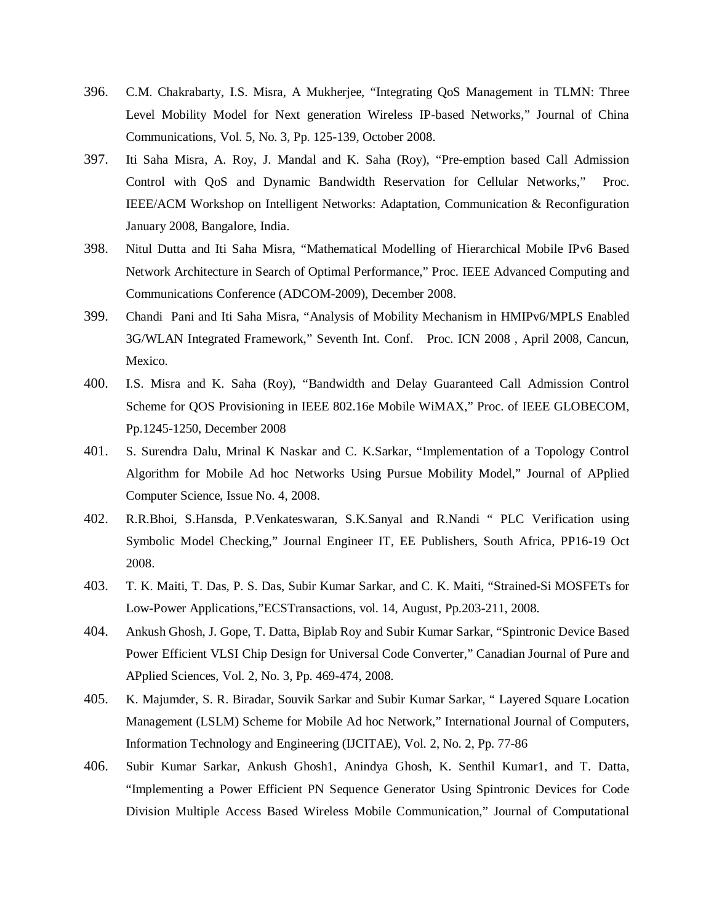- 396. C.M. Chakrabarty, I.S. Misra, A Mukherjee, "Integrating QoS Management in TLMN: Three Level Mobility Model for Next generation Wireless IP-based Networks," Journal of China Communications, Vol. 5, No. 3, Pp. 125-139, October 2008.
- 397. Iti Saha Misra, A. Roy, J. Mandal and K. Saha (Roy), "Pre-emption based Call Admission Control with QoS and Dynamic Bandwidth Reservation for Cellular Networks," Proc. IEEE/ACM Workshop on Intelligent Networks: Adaptation, Communication & Reconfiguration January 2008, Bangalore, India.
- 398. Nitul Dutta and Iti Saha Misra, "Mathematical Modelling of Hierarchical Mobile IPv6 Based Network Architecture in Search of Optimal Performance," Proc. IEEE Advanced Computing and Communications Conference (ADCOM-2009), December 2008.
- 399. Chandi Pani and Iti Saha Misra, "Analysis of Mobility Mechanism in HMIPv6/MPLS Enabled 3G/WLAN Integrated Framework," Seventh Int. Conf. Proc. ICN 2008 , April 2008, Cancun, Mexico.
- 400. I.S. Misra and K. Saha (Roy), "Bandwidth and Delay Guaranteed Call Admission Control Scheme for QOS Provisioning in IEEE 802.16e Mobile WiMAX," Proc. of IEEE GLOBECOM, Pp.1245-1250, December 2008
- 401. S. Surendra Dalu, Mrinal K Naskar and C. K.Sarkar, "Implementation of a Topology Control Algorithm for Mobile Ad hoc Networks Using Pursue Mobility Model," Journal of APplied Computer Science, Issue No. 4, 2008.
- 402. R.R.Bhoi, S.Hansda, P.Venkateswaran, S.K.Sanyal and R.Nandi " PLC Verification using Symbolic Model Checking," Journal Engineer IT, EE Publishers, South Africa, PP16-19 Oct 2008.
- 403. T. K. Maiti, T. Das, P. S. Das, Subir Kumar Sarkar, and C. K. Maiti, "Strained-Si MOSFETs for Low-Power Applications,"ECSTransactions, vol. 14, August, Pp.203-211, 2008.
- 404. Ankush Ghosh, J. Gope, T. Datta, Biplab Roy and Subir Kumar Sarkar, "Spintronic Device Based Power Efficient VLSI Chip Design for Universal Code Converter," Canadian Journal of Pure and APplied Sciences, Vol. 2, No. 3, Pp. 469-474, 2008.
- 405. K. Majumder, S. R. Biradar, Souvik Sarkar and Subir Kumar Sarkar, " Layered Square Location Management (LSLM) Scheme for Mobile Ad hoc Network," International Journal of Computers, Information Technology and Engineering (IJCITAE), Vol. 2, No. 2, Pp. 77-86
- 406. Subir Kumar Sarkar, Ankush Ghosh1, Anindya Ghosh, K. Senthil Kumar1, and T. Datta, "Implementing a Power Efficient PN Sequence Generator Using Spintronic Devices for Code Division Multiple Access Based Wireless Mobile Communication," Journal of Computational